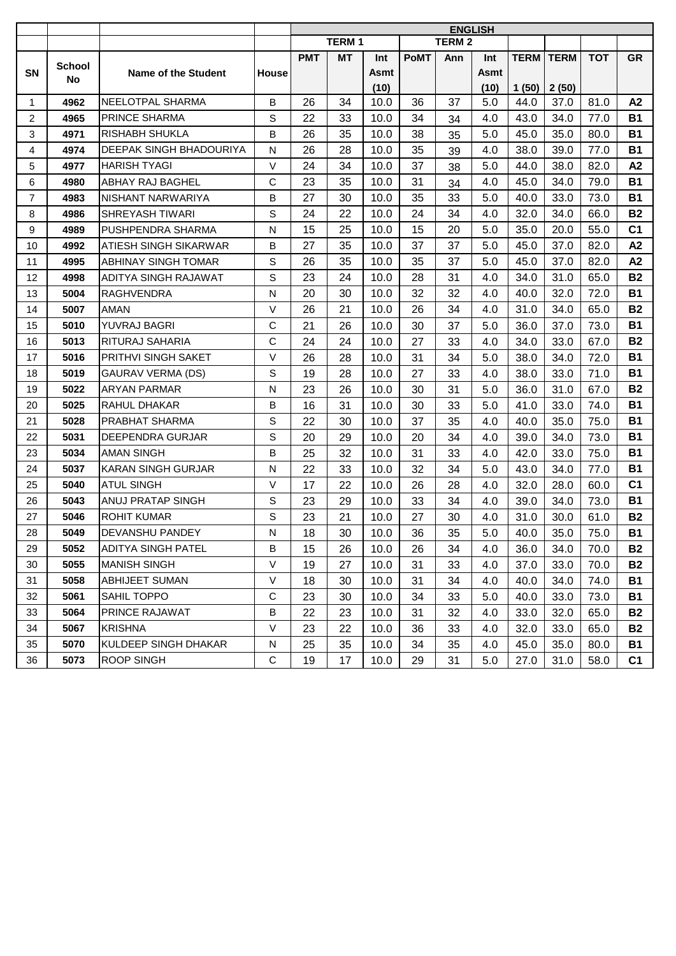|                |               |                              |              | <b>ENGLISH</b> |                   |             |             |               |             |             |             |            |                |
|----------------|---------------|------------------------------|--------------|----------------|-------------------|-------------|-------------|---------------|-------------|-------------|-------------|------------|----------------|
|                |               |                              |              |                | TERM <sub>1</sub> |             |             | <b>TERM 2</b> |             |             |             |            |                |
|                | <b>School</b> |                              |              | <b>PMT</b>     | MT                | Int         | <b>PoMT</b> | Ann           | Int         | <b>TERM</b> | <b>TERM</b> | <b>TOT</b> | <b>GR</b>      |
| SN             | No            | <b>Name of the Student</b>   | <b>House</b> |                |                   | <b>Asmt</b> |             |               | <b>Asmt</b> |             |             |            |                |
|                |               |                              |              |                |                   | (10)        |             |               | (10)        | 1(50)       | 2(50)       |            |                |
| 1              | 4962          | NEELOTPAL SHARMA             | B            | 26             | 34                | 10.0        | 36          | 37            | 5.0         | 44.0        | 37.0        | 81.0       | A2             |
| 2              | 4965          | <b>PRINCE SHARMA</b>         | S            | 22             | 33                | 10.0        | 34          | 34            | 4.0         | 43.0        | 34.0        | 77.0       | <b>B1</b>      |
| 3              | 4971          | <b>RISHABH SHUKLA</b>        | В            | 26             | 35                | 10.0        | 38          | 35            | 5.0         | 45.0        | 35.0        | 80.0       | <b>B1</b>      |
| 4              | 4974          | DEEPAK SINGH BHADOURIYA      | N            | 26             | 28                | 10.0        | 35          | 39            | 4.0         | 38.0        | 39.0        | 77.0       | <b>B1</b>      |
| 5              | 4977          | <b>HARISH TYAGI</b>          | $\vee$       | 24             | 34                | 10.0        | 37          | 38            | 5.0         | 44.0        | 38.0        | 82.0       | A2             |
| 6              | 4980          | ABHAY RAJ BAGHEL             | $\mathbf C$  | 23             | 35                | 10.0        | 31          | 34            | 4.0         | 45.0        | 34.0        | 79.0       | <b>B1</b>      |
| $\overline{7}$ | 4983          | NISHANT NARWARIYA            | B            | 27             | 30                | 10.0        | 35          | 33            | 5.0         | 40.0        | 33.0        | 73.0       | <b>B1</b>      |
| 8              | 4986          | SHREYASH TIWARI              | S            | 24             | 22                | 10.0        | 24          | 34            | 4.0         | 32.0        | 34.0        | 66.0       | <b>B2</b>      |
| 9              | 4989          | PUSHPENDRA SHARMA            | N            | 15             | 25                | 10.0        | 15          | 20            | 5.0         | 35.0        | 20.0        | 55.0       | C <sub>1</sub> |
| 10             | 4992          | <b>ATIESH SINGH SIKARWAR</b> | B            | 27             | 35                | 10.0        | 37          | 37            | 5.0         | 45.0        | 37.0        | 82.0       | A2             |
| 11             | 4995          | ABHINAY SINGH TOMAR          | S            | 26             | 35                | 10.0        | 35          | 37            | 5.0         | 45.0        | 37.0        | 82.0       | A2             |
| 12             | 4998          | ADITYA SINGH RAJAWAT         | $\mathbb S$  | 23             | 24                | 10.0        | 28          | 31            | 4.0         | 34.0        | 31.0        | 65.0       | <b>B2</b>      |
| 13             | 5004          | <b>RAGHVENDRA</b>            | ${\sf N}$    | 20             | 30                | 10.0        | 32          | 32            | 4.0         | 40.0        | 32.0        | 72.0       | <b>B1</b>      |
| 14             | 5007          | AMAN                         | $\vee$       | 26             | 21                | 10.0        | 26          | 34            | 4.0         | 31.0        | 34.0        | 65.0       | <b>B2</b>      |
| 15             | 5010          | YUVRAJ BAGRI                 | $\mathsf C$  | 21             | 26                | 10.0        | 30          | 37            | 5.0         | 36.0        | 37.0        | 73.0       | <b>B1</b>      |
| 16             | 5013          | RITURAJ SAHARIA              | $\mathsf{C}$ | 24             | 24                | 10.0        | 27          | 33            | 4.0         | 34.0        | 33.0        | 67.0       | <b>B2</b>      |
| 17             | 5016          | PRITHVI SINGH SAKET          | $\vee$       | 26             | 28                | 10.0        | 31          | 34            | 5.0         | 38.0        | 34.0        | 72.0       | <b>B1</b>      |
| 18             | 5019          | <b>GAURAV VERMA (DS)</b>     | $\mathbb S$  | 19             | 28                | 10.0        | 27          | 33            | 4.0         | 38.0        | 33.0        | 71.0       | <b>B1</b>      |
| 19             | 5022          | <b>ARYAN PARMAR</b>          | N            | 23             | 26                | 10.0        | 30          | 31            | 5.0         | 36.0        | 31.0        | 67.0       | <b>B2</b>      |
| 20             | 5025          | <b>RAHUL DHAKAR</b>          | В            | 16             | 31                | 10.0        | 30          | 33            | 5.0         | 41.0        | 33.0        | 74.0       | <b>B1</b>      |
| 21             | 5028          | PRABHAT SHARMA               | $\mathbb S$  | 22             | 30                | 10.0        | 37          | 35            | 4.0         | 40.0        | 35.0        | 75.0       | <b>B1</b>      |
| 22             | 5031          | DEEPENDRA GURJAR             | S            | 20             | 29                | 10.0        | 20          | 34            | 4.0         | 39.0        | 34.0        | 73.0       | <b>B1</b>      |
| 23             | 5034          | <b>AMAN SINGH</b>            | в            | 25             | 32                | 10.0        | 31          | 33            | 4.0         | 42.0        | 33.0        | 75.0       | <b>B1</b>      |
| 24             | 5037          | <b>KARAN SINGH GURJAR</b>    | ${\sf N}$    | 22             | 33                | 10.0        | 32          | 34            | 5.0         | 43.0        | 34.0        | 77.0       | <b>B1</b>      |
| 25             | 5040          | <b>ATUL SINGH</b>            | $\vee$       | 17             | 22                | 10.0        | 26          | 28            | 4.0         | 32.0        | 28.0        | 60.0       | C <sub>1</sub> |
| 26             | 5043          | ANUJ PRATAP SINGH            | S            | 23             | 29                | 10.0        | 33          | 34            | 4.0         | 39.0        | 34.0        | 73.0       | <b>B1</b>      |
| 27             | 5046          | <b>ROHIT KUMAR</b>           | S            | 23             | 21                | 10.0        | 27          | 30            | 4.0         | 31.0        | 30.0        | 61.0       | <b>B2</b>      |
| 28             | 5049          | <b>DEVANSHU PANDEY</b>       | ${\sf N}$    | 18             | 30                | 10.0        | 36          | 35            | 5.0         | 40.0        | 35.0        | 75.0       | <b>B1</b>      |
| 29             | 5052          | <b>ADITYA SINGH PATEL</b>    | В            | 15             | 26                | 10.0        | 26          | 34            | 4.0         | 36.0        | 34.0        | 70.0       | <b>B2</b>      |
| 30             | 5055          | <b>MANISH SINGH</b>          | $\vee$       | 19             | 27                | 10.0        | 31          | 33            | 4.0         | 37.0        | 33.0        | 70.0       | <b>B2</b>      |
| 31             | 5058          | <b>ABHIJEET SUMAN</b>        | $\vee$       | 18             | 30                | 10.0        | 31          | 34            | 4.0         | 40.0        | 34.0        | 74.0       | <b>B1</b>      |
| 32             | 5061          | <b>SAHIL TOPPO</b>           | $\mathbf C$  | 23             | 30                | 10.0        | 34          | 33            | 5.0         | 40.0        | 33.0        | 73.0       | <b>B1</b>      |
| 33             | 5064          | PRINCE RAJAWAT               | в            | 22             | 23                | 10.0        | 31          | 32            | 4.0         | 33.0        | 32.0        | 65.0       | <b>B2</b>      |
| 34             | 5067          | <b>KRISHNA</b>               | V            | 23             | 22                | 10.0        | 36          | 33            | 4.0         | 32.0        | 33.0        | 65.0       | <b>B2</b>      |
| 35             | 5070          | KULDEEP SINGH DHAKAR         | ${\sf N}$    | 25             | 35                | 10.0        | 34          | 35            | 4.0         | 45.0        | 35.0        | 80.0       | <b>B1</b>      |
| 36             | 5073          | <b>ROOP SINGH</b>            | C            | 19             | 17                | 10.0        | 29          | 31            | 5.0         | 27.0        | 31.0        | 58.0       | C <sub>1</sub> |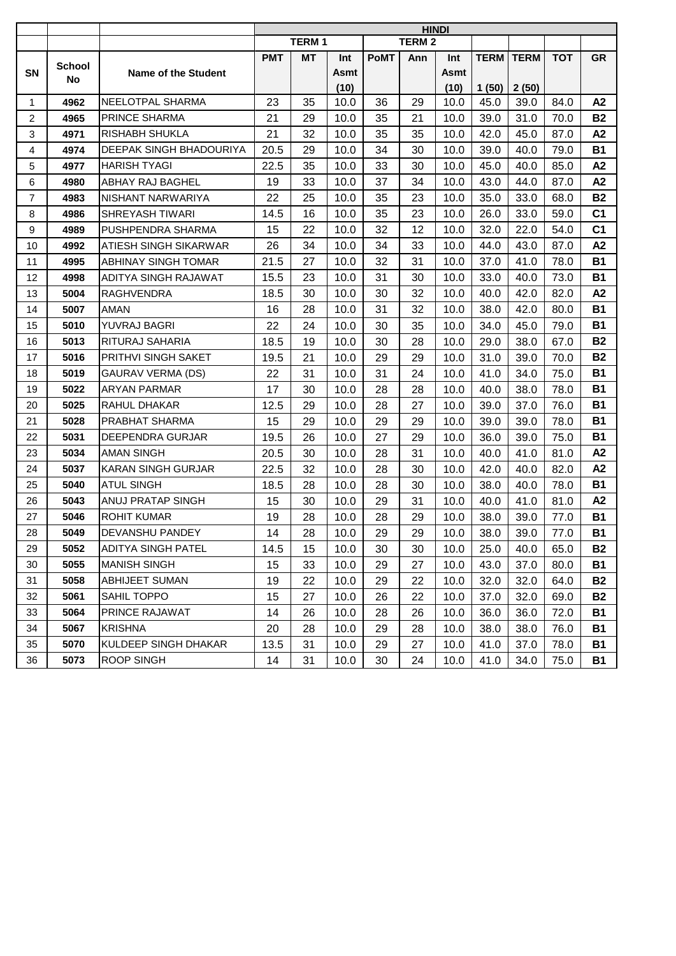|                |               |                            | <b>HINDI</b> |              |      |             |              |             |                    |       |            |                |
|----------------|---------------|----------------------------|--------------|--------------|------|-------------|--------------|-------------|--------------------|-------|------------|----------------|
|                |               |                            |              | <b>TERM1</b> |      |             | <b>TERM2</b> |             |                    |       |            |                |
|                | <b>School</b> |                            | <b>PMT</b>   | MT           | Int  | <b>PoMT</b> | Ann          | Int         | <b>TERM   TERM</b> |       | <b>TOT</b> | <b>GR</b>      |
| <b>SN</b>      | No            | <b>Name of the Student</b> |              |              | Asmt |             |              | <b>Asmt</b> |                    |       |            |                |
|                |               |                            |              |              | (10) |             |              | (10)        | 1(50)              | 2(50) |            |                |
| $\mathbf{1}$   | 4962          | NEELOTPAL SHARMA           | 23           | 35           | 10.0 | 36          | 29           | 10.0        | 45.0               | 39.0  | 84.0       | A2             |
| $\overline{2}$ | 4965          | PRINCE SHARMA              | 21           | 29           | 10.0 | 35          | 21           | 10.0        | 39.0               | 31.0  | 70.0       | <b>B2</b>      |
| 3              | 4971          | <b>RISHABH SHUKLA</b>      | 21           | 32           | 10.0 | 35          | 35           | 10.0        | 42.0               | 45.0  | 87.0       | A2             |
| 4              | 4974          | DEEPAK SINGH BHADOURIYA    | 20.5         | 29           | 10.0 | 34          | 30           | 10.0        | 39.0               | 40.0  | 79.0       | <b>B1</b>      |
| 5              | 4977          | <b>HARISH TYAGI</b>        | 22.5         | 35           | 10.0 | 33          | 30           | 10.0        | 45.0               | 40.0  | 85.0       | A2             |
| 6              | 4980          | ABHAY RAJ BAGHEL           | 19           | 33           | 10.0 | 37          | 34           | 10.0        | 43.0               | 44.0  | 87.0       | A2             |
| $\overline{7}$ | 4983          | NISHANT NARWARIYA          | 22           | 25           | 10.0 | 35          | 23           | 10.0        | 35.0               | 33.0  | 68.0       | <b>B2</b>      |
| 8              | 4986          | SHREYASH TIWARI            | 14.5         | 16           | 10.0 | 35          | 23           | 10.0        | 26.0               | 33.0  | 59.0       | C <sub>1</sub> |
| 9              | 4989          | PUSHPENDRA SHARMA          | 15           | 22           | 10.0 | 32          | 12           | 10.0        | 32.0               | 22.0  | 54.0       | C <sub>1</sub> |
| 10             | 4992          | ATIESH SINGH SIKARWAR      | 26           | 34           | 10.0 | 34          | 33           | 10.0        | 44.0               | 43.0  | 87.0       | A2             |
| 11             | 4995          | <b>ABHINAY SINGH TOMAR</b> | 21.5         | 27           | 10.0 | 32          | 31           | 10.0        | 37.0               | 41.0  | 78.0       | <b>B1</b>      |
| 12             | 4998          | ADITYA SINGH RAJAWAT       | 15.5         | 23           | 10.0 | 31          | 30           | 10.0        | 33.0               | 40.0  | 73.0       | <b>B1</b>      |
| 13             | 5004          | <b>RAGHVENDRA</b>          | 18.5         | 30           | 10.0 | 30          | 32           | 10.0        | 40.0               | 42.0  | 82.0       | A2             |
| 14             | 5007          | <b>AMAN</b>                | 16           | 28           | 10.0 | 31          | 32           | 10.0        | 38.0               | 42.0  | 80.0       | <b>B1</b>      |
| 15             | 5010          | YUVRAJ BAGRI               | 22           | 24           | 10.0 | 30          | 35           | 10.0        | 34.0               | 45.0  | 79.0       | <b>B1</b>      |
| 16             | 5013          | RITURAJ SAHARIA            | 18.5         | 19           | 10.0 | 30          | 28           | 10.0        | 29.0               | 38.0  | 67.0       | <b>B2</b>      |
| 17             | 5016          | PRITHVI SINGH SAKET        | 19.5         | 21           | 10.0 | 29          | 29           | 10.0        | 31.0               | 39.0  | 70.0       | <b>B2</b>      |
| 18             | 5019          | <b>GAURAV VERMA (DS)</b>   | 22           | 31           | 10.0 | 31          | 24           | 10.0        | 41.0               | 34.0  | 75.0       | <b>B1</b>      |
| 19             | 5022          | <b>ARYAN PARMAR</b>        | 17           | 30           | 10.0 | 28          | 28           | 10.0        | 40.0               | 38.0  | 78.0       | <b>B1</b>      |
| 20             | 5025          | RAHUL DHAKAR               | 12.5         | 29           | 10.0 | 28          | 27           | 10.0        | 39.0               | 37.0  | 76.0       | <b>B1</b>      |
| 21             | 5028          | PRABHAT SHARMA             | 15           | 29           | 10.0 | 29          | 29           | 10.0        | 39.0               | 39.0  | 78.0       | <b>B1</b>      |
| 22             | 5031          | DEEPENDRA GURJAR           | 19.5         | 26           | 10.0 | 27          | 29           | 10.0        | 36.0               | 39.0  | 75.0       | <b>B1</b>      |
| 23             | 5034          | <b>AMAN SINGH</b>          | 20.5         | 30           | 10.0 | 28          | 31           | 10.0        | 40.0               | 41.0  | 81.0       | A2             |
| 24             | 5037          | <b>KARAN SINGH GURJAR</b>  | 22.5         | 32           | 10.0 | 28          | 30           | 10.0        | 42.0               | 40.0  | 82.0       | A2             |
| 25             | 5040          | <b>ATUL SINGH</b>          | 18.5         | 28           | 10.0 | 28          | 30           | 10.0        | 38.0               | 40.0  | 78.0       | <b>B1</b>      |
| 26             | 5043          | ANUJ PRATAP SINGH          | 15           | 30           | 10.0 | 29          | 31           | 10.0        | 40.0               | 41.0  | 81.0       | A2             |
| 27             | 5046          | <b>ROHIT KUMAR</b>         | 19           | 28           | 10.0 | 28          | 29           | 10.0        | 38.0               | 39.0  | 77.0       | <b>B1</b>      |
| 28             | 5049          | <b>DEVANSHU PANDEY</b>     | 14           | 28           | 10.0 | 29          | 29           | 10.0        | 38.0               | 39.0  | 77.0       | <b>B1</b>      |
| 29             | 5052          | <b>ADITYA SINGH PATEL</b>  | 14.5         | 15           | 10.0 | 30          | 30           | 10.0        | 25.0               | 40.0  | 65.0       | <b>B2</b>      |
| 30             | 5055          | <b>MANISH SINGH</b>        | 15           | 33           | 10.0 | 29          | 27           | 10.0        | 43.0               | 37.0  | 80.0       | <b>B1</b>      |
| 31             | 5058          | ABHIJEET SUMAN             | 19           | 22           | 10.0 | 29          | 22           | 10.0        | 32.0               | 32.0  | 64.0       | <b>B2</b>      |
| 32             | 5061          | SAHIL TOPPO                | 15           | 27           | 10.0 | 26          | 22           | 10.0        | 37.0               | 32.0  | 69.0       | <b>B2</b>      |
| 33             | 5064          | PRINCE RAJAWAT             | 14           | 26           | 10.0 | 28          | 26           | 10.0        | 36.0               | 36.0  | 72.0       | <b>B1</b>      |
| 34             | 5067          | <b>KRISHNA</b>             | 20           | 28           | 10.0 | 29          | 28           | 10.0        | 38.0               | 38.0  | 76.0       | <b>B1</b>      |
| 35             | 5070          | KULDEEP SINGH DHAKAR       | 13.5         | 31           | 10.0 | 29          | 27           | 10.0        | 41.0               | 37.0  | 78.0       | <b>B1</b>      |
| 36             | 5073          | <b>ROOP SINGH</b>          | 14           | 31           | 10.0 | 30          | 24           | 10.0        | 41.0               | 34.0  | 75.0       | <b>B1</b>      |
|                |               |                            |              |              |      |             |              |             |                    |       |            |                |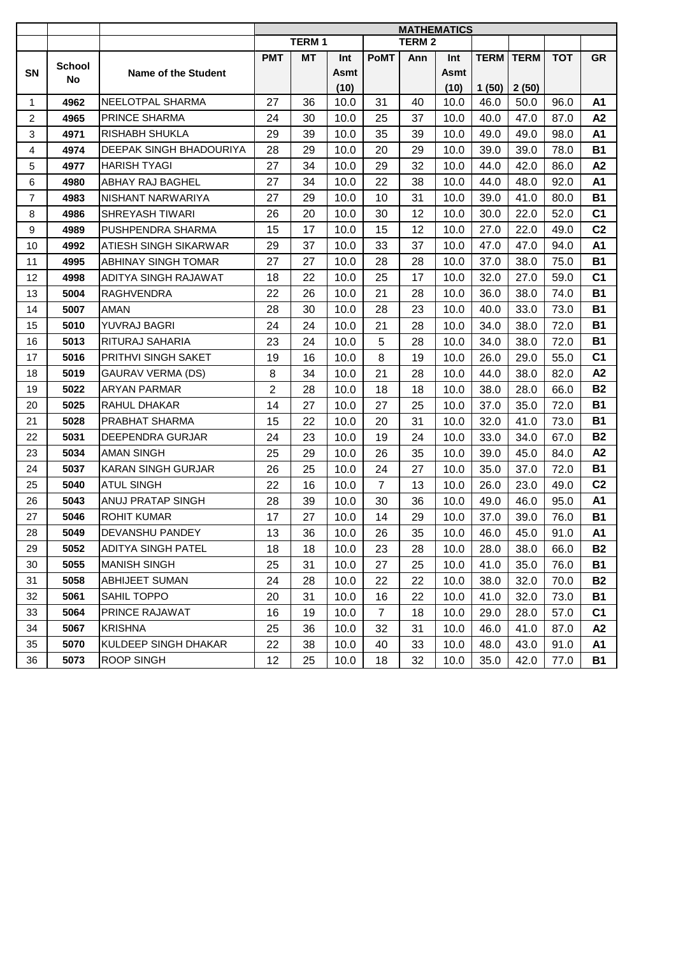|                |        |                           | <b>MATHEMATICS</b> |                   |      |                |               |      |       |                    |            |                |
|----------------|--------|---------------------------|--------------------|-------------------|------|----------------|---------------|------|-------|--------------------|------------|----------------|
|                |        |                           |                    | TERM <sub>1</sub> |      |                | <b>TERM 2</b> |      |       |                    |            |                |
|                | School |                           | <b>PMT</b>         | MT                | Int  | <b>PoMT</b>    | Ann           | Int  |       | <b>TERM   TERM</b> | <b>TOT</b> | <b>GR</b>      |
| SN             | No.    | Name of the Student       |                    |                   | Asmt |                |               | Asmt |       |                    |            |                |
|                |        |                           |                    |                   | (10) |                |               | (10) | 1(50) | 2(50)              |            |                |
| $\mathbf 1$    | 4962   | NEELOTPAL SHARMA          | 27                 | 36                | 10.0 | 31             | 40            | 10.0 | 46.0  | 50.0               | 96.0       | A <sub>1</sub> |
| $\overline{2}$ | 4965   | <b>PRINCE SHARMA</b>      | 24                 | 30                | 10.0 | 25             | 37            | 10.0 | 40.0  | 47.0               | 87.0       | A2             |
| 3              | 4971   | RISHABH SHUKLA            | 29                 | 39                | 10.0 | 35             | 39            | 10.0 | 49.0  | 49.0               | 98.0       | A1             |
| $\overline{4}$ | 4974   | DEEPAK SINGH BHADOURIYA   | 28                 | 29                | 10.0 | 20             | 29            | 10.0 | 39.0  | 39.0               | 78.0       | <b>B1</b>      |
| 5              | 4977   | <b>HARISH TYAGI</b>       | 27                 | 34                | 10.0 | 29             | 32            | 10.0 | 44.0  | 42.0               | 86.0       | A2             |
| 6              | 4980   | ABHAY RAJ BAGHEL          | 27                 | 34                | 10.0 | 22             | 38            | 10.0 | 44.0  | 48.0               | 92.0       | A1             |
| $\overline{7}$ | 4983   | NISHANT NARWARIYA         | 27                 | 29                | 10.0 | 10             | 31            | 10.0 | 39.0  | 41.0               | 80.0       | <b>B1</b>      |
| 8              | 4986   | SHREYASH TIWARI           | 26                 | 20                | 10.0 | 30             | 12            | 10.0 | 30.0  | 22.0               | 52.0       | C <sub>1</sub> |
| 9              | 4989   | PUSHPENDRA SHARMA         | 15                 | 17                | 10.0 | 15             | 12            | 10.0 | 27.0  | 22.0               | 49.0       | C <sub>2</sub> |
| 10             | 4992   | ATIESH SINGH SIKARWAR     | 29                 | 37                | 10.0 | 33             | 37            | 10.0 | 47.0  | 47.0               | 94.0       | A1             |
| 11             | 4995   | ABHINAY SINGH TOMAR       | 27                 | 27                | 10.0 | 28             | 28            | 10.0 | 37.0  | 38.0               | 75.0       | <b>B1</b>      |
| 12             | 4998   | ADITYA SINGH RAJAWAT      | 18                 | 22                | 10.0 | 25             | 17            | 10.0 | 32.0  | 27.0               | 59.0       | C <sub>1</sub> |
| 13             | 5004   | <b>RAGHVENDRA</b>         | 22                 | 26                | 10.0 | 21             | 28            | 10.0 | 36.0  | 38.0               | 74.0       | <b>B1</b>      |
| 14             | 5007   | AMAN                      | 28                 | 30                | 10.0 | 28             | 23            | 10.0 | 40.0  | 33.0               | 73.0       | <b>B1</b>      |
| 15             | 5010   | YUVRAJ BAGRI              | 24                 | 24                | 10.0 | 21             | 28            | 10.0 | 34.0  | 38.0               | 72.0       | <b>B1</b>      |
| 16             | 5013   | RITURAJ SAHARIA           | 23                 | 24                | 10.0 | 5              | 28            | 10.0 | 34.0  | 38.0               | 72.0       | <b>B1</b>      |
| 17             | 5016   | PRITHVI SINGH SAKET       | 19                 | 16                | 10.0 | 8              | 19            | 10.0 | 26.0  | 29.0               | 55.0       | C <sub>1</sub> |
| 18             | 5019   | GAURAV VERMA (DS)         | 8                  | 34                | 10.0 | 21             | 28            | 10.0 | 44.0  | 38.0               | 82.0       | A2             |
| 19             | 5022   | <b>ARYAN PARMAR</b>       | $\overline{2}$     | 28                | 10.0 | 18             | 18            | 10.0 | 38.0  | 28.0               | 66.0       | <b>B2</b>      |
| 20             | 5025   | RAHUL DHAKAR              | 14                 | 27                | 10.0 | 27             | 25            | 10.0 | 37.0  | 35.0               | 72.0       | <b>B1</b>      |
| 21             | 5028   | PRABHAT SHARMA            | 15                 | 22                | 10.0 | 20             | 31            | 10.0 | 32.0  | 41.0               | 73.0       | <b>B1</b>      |
| 22             | 5031   | DEEPENDRA GURJAR          | 24                 | 23                | 10.0 | 19             | 24            | 10.0 | 33.0  | 34.0               | 67.0       | <b>B2</b>      |
| 23             | 5034   | AMAN SINGH                | 25                 | 29                | 10.0 | 26             | 35            | 10.0 | 39.0  | 45.0               | 84.0       | A2             |
| 24             | 5037   | <b>KARAN SINGH GURJAR</b> | 26                 | 25                | 10.0 | 24             | 27            | 10.0 | 35.0  | 37.0               | 72.0       | <b>B1</b>      |
| 25             | 5040   | <b>ATUL SINGH</b>         | 22                 | 16                | 10.0 | $\overline{7}$ | 13            | 10.0 | 26.0  | 23.0               | 49.0       | C <sub>2</sub> |
| 26             | 5043   | ANUJ PRATAP SINGH         | 28                 | 39                | 10.0 | 30             | 36            | 10.0 | 49.0  | 46.0               | 95.0       | A1             |
| 27             | 5046   | <b>ROHIT KUMAR</b>        | 17                 | 27                | 10.0 | 14             | 29            | 10.0 | 37.0  | 39.0               | 76.0       | <b>B1</b>      |
| 28             | 5049   | DEVANSHU PANDEY           | 13                 | 36                | 10.0 | 26             | 35            | 10.0 | 46.0  | 45.0               | 91.0       | A1             |
| 29             | 5052   | <b>ADITYA SINGH PATEL</b> | 18                 | 18                | 10.0 | 23             | 28            | 10.0 | 28.0  | 38.0               | 66.0       | <b>B2</b>      |
| 30             | 5055   | <b>MANISH SINGH</b>       | 25                 | 31                | 10.0 | 27             | 25            | 10.0 | 41.0  | 35.0               | 76.0       | <b>B1</b>      |
| 31             | 5058   | <b>ABHIJEET SUMAN</b>     | 24                 | 28                | 10.0 | 22             | 22            | 10.0 | 38.0  | 32.0               | 70.0       | <b>B2</b>      |
| 32             | 5061   | SAHIL TOPPO               | 20                 | 31                | 10.0 | 16             | 22            | 10.0 | 41.0  | 32.0               | 73.0       | <b>B1</b>      |
| 33             | 5064   | PRINCE RAJAWAT            | 16                 | 19                | 10.0 | $\overline{7}$ | 18            | 10.0 | 29.0  | 28.0               | 57.0       | C <sub>1</sub> |
| 34             | 5067   | <b>KRISHNA</b>            | 25                 | 36                | 10.0 | 32             | 31            | 10.0 | 46.0  | 41.0               | 87.0       | A2             |
| 35             | 5070   | KULDEEP SINGH DHAKAR      | 22                 | 38                | 10.0 | 40             | 33            | 10.0 | 48.0  | 43.0               | 91.0       | A1             |
| 36             | 5073   | <b>ROOP SINGH</b>         | 12                 | 25                | 10.0 | 18             | 32            | 10.0 | 35.0  | 42.0               | 77.0       | <b>B1</b>      |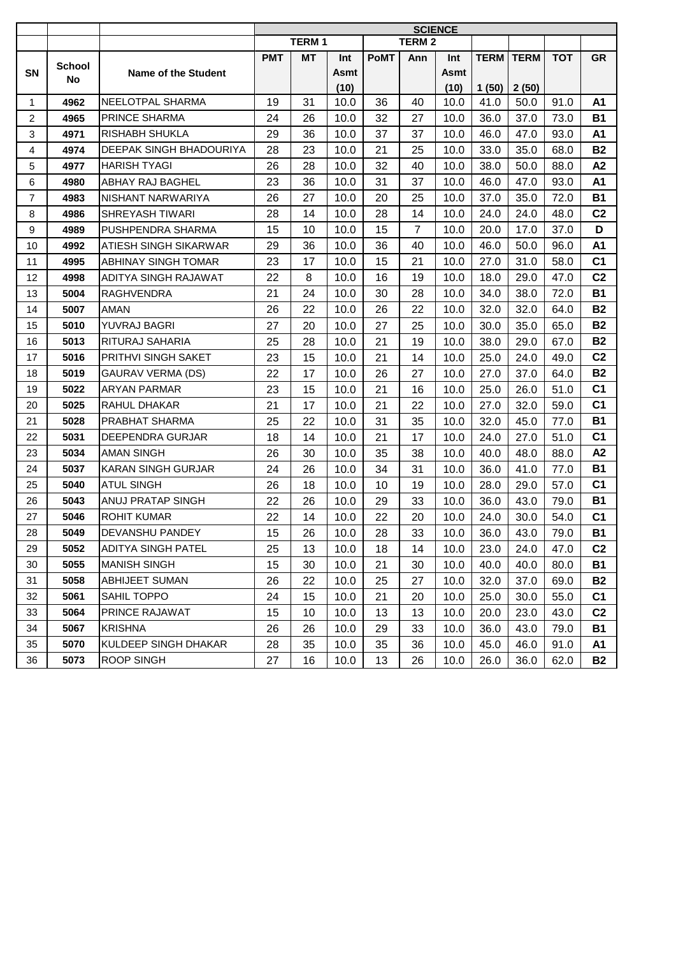|                |               |                            | <b>SCIENCE</b>  |              |      |             |                |             |       |                    |            |                |
|----------------|---------------|----------------------------|-----------------|--------------|------|-------------|----------------|-------------|-------|--------------------|------------|----------------|
|                |               |                            |                 | <b>TERM1</b> |      |             | <b>TERM 2</b>  |             |       |                    |            |                |
|                | <b>School</b> |                            | <b>PMT</b>      | MT           | Int  | <b>PoMT</b> | Ann            | Int         |       | <b>TERM   TERM</b> | <b>TOT</b> | <b>GR</b>      |
| <b>SN</b>      | No            | <b>Name of the Student</b> |                 |              | Asmt |             |                | <b>Asmt</b> |       |                    |            |                |
|                |               |                            |                 |              | (10) |             |                | (10)        | 1(50) | 2(50)              |            |                |
| $\mathbf{1}$   | 4962          | NEELOTPAL SHARMA           | 19              | 31           | 10.0 | 36          | 40             | 10.0        | 41.0  | 50.0               | 91.0       | A <sub>1</sub> |
| $\overline{2}$ | 4965          | PRINCE SHARMA              | 24              | 26           | 10.0 | 32          | 27             | 10.0        | 36.0  | 37.0               | 73.0       | <b>B1</b>      |
| 3              | 4971          | <b>RISHABH SHUKLA</b>      | 29              | 36           | 10.0 | 37          | 37             | 10.0        | 46.0  | 47.0               | 93.0       | A <sub>1</sub> |
| 4              | 4974          | DEEPAK SINGH BHADOURIYA    | 28              | 23           | 10.0 | 21          | 25             | 10.0        | 33.0  | 35.0               | 68.0       | <b>B2</b>      |
| 5              | 4977          | <b>HARISH TYAGI</b>        | 26              | 28           | 10.0 | 32          | 40             | 10.0        | 38.0  | 50.0               | 88.0       | A2             |
| 6              | 4980          | ABHAY RAJ BAGHEL           | 23              | 36           | 10.0 | 31          | 37             | 10.0        | 46.0  | 47.0               | 93.0       | <b>A1</b>      |
| $\overline{7}$ | 4983          | NISHANT NARWARIYA          | 26              | 27           | 10.0 | 20          | 25             | 10.0        | 37.0  | 35.0               | 72.0       | <b>B1</b>      |
| 8              | 4986          | SHREYASH TIWARI            | 28              | 14           | 10.0 | 28          | 14             | 10.0        | 24.0  | 24.0               | 48.0       | C <sub>2</sub> |
| $9\,$          | 4989          | PUSHPENDRA SHARMA          | 15              | 10           | 10.0 | 15          | $\overline{7}$ | 10.0        | 20.0  | 17.0               | 37.0       | D              |
| 10             | 4992          | ATIESH SINGH SIKARWAR      | 29              | 36           | 10.0 | 36          | 40             | 10.0        | 46.0  | 50.0               | 96.0       | A1             |
| 11             | 4995          | ABHINAY SINGH TOMAR        | 23              | 17           | 10.0 | 15          | 21             | 10.0        | 27.0  | 31.0               | 58.0       | C <sub>1</sub> |
| 12             | 4998          | ADITYA SINGH RAJAWAT       | 22              | 8            | 10.0 | 16          | 19             | 10.0        | 18.0  | 29.0               | 47.0       | C <sub>2</sub> |
| 13             | 5004          | <b>RAGHVENDRA</b>          | 21              | 24           | 10.0 | 30          | 28             | 10.0        | 34.0  | 38.0               | 72.0       | <b>B1</b>      |
| 14             | 5007          | AMAN                       | 26              | 22           | 10.0 | 26          | 22             | 10.0        | 32.0  | 32.0               | 64.0       | <b>B2</b>      |
| 15             | 5010          | YUVRAJ BAGRI               | 27              | 20           | 10.0 | 27          | 25             | 10.0        | 30.0  | 35.0               | 65.0       | <b>B2</b>      |
| 16             | 5013          | RITURAJ SAHARIA            | 25              | 28           | 10.0 | 21          | 19             | 10.0        | 38.0  | 29.0               | 67.0       | <b>B2</b>      |
| 17             | 5016          | PRITHVI SINGH SAKET        | 23              | 15           | 10.0 | 21          | 14             | 10.0        | 25.0  | 24.0               | 49.0       | C <sub>2</sub> |
| 18             | 5019          | <b>GAURAV VERMA (DS)</b>   | 22              | 17           | 10.0 | 26          | 27             | 10.0        | 27.0  | 37.0               | 64.0       | <b>B2</b>      |
| 19             | 5022          | <b>ARYAN PARMAR</b>        | 23              | 15           | 10.0 | 21          | 16             | 10.0        | 25.0  | 26.0               | 51.0       | C <sub>1</sub> |
| 20             | 5025          | RAHUL DHAKAR               | 21              | 17           | 10.0 | 21          | 22             | 10.0        | 27.0  | 32.0               | 59.0       | C <sub>1</sub> |
| 21             | 5028          | PRABHAT SHARMA             | 25              | 22           | 10.0 | 31          | 35             | 10.0        | 32.0  | 45.0               | 77.0       | <b>B1</b>      |
| 22             | 5031          | DEEPENDRA GURJAR           | 18              | 14           | 10.0 | 21          | 17             | 10.0        | 24.0  | 27.0               | 51.0       | C <sub>1</sub> |
| 23             | 5034          | <b>AMAN SINGH</b>          | 26              | 30           | 10.0 | 35          | 38             | 10.0        | 40.0  | 48.0               | 88.0       | A2             |
| 24             | 5037          | <b>KARAN SINGH GURJAR</b>  | 24              | 26           | 10.0 | 34          | 31             | 10.0        | 36.0  | 41.0               | 77.0       | <b>B1</b>      |
| 25             | 5040          | <b>ATUL SINGH</b>          | 26              | 18           | 10.0 | 10          | 19             | 10.0        | 28.0  | 29.0               | 57.0       | C <sub>1</sub> |
| 26             | 5043          | ANUJ PRATAP SINGH          | 22              | 26           | 10.0 | 29          | 33             | 10.0        | 36.0  | 43.0               | 79.0       | <b>B1</b>      |
| 27             | 5046          | <b>ROHIT KUMAR</b>         | 22              | 14           | 10.0 | 22          | 20             | 10.0        | 24.0  | 30.0               | 54.0       | C <sub>1</sub> |
| 28             | 5049          | <b>DEVANSHU PANDEY</b>     | 15 <sub>1</sub> | 26           | 10.0 | 28          | 33             | 10.0        | 36.0  | 43.0               | 79.0       | <b>B1</b>      |
| 29             | 5052          | <b>ADITYA SINGH PATEL</b>  | 25              | 13           | 10.0 | 18          | 14             | 10.0        | 23.0  | 24.0               | 47.0       | C <sub>2</sub> |
| 30             | 5055          | <b>MANISH SINGH</b>        | 15              | 30           | 10.0 | 21          | 30             | 10.0        | 40.0  | 40.0               | 80.0       | <b>B1</b>      |
| 31             | 5058          | ABHIJEET SUMAN             | 26              | 22           | 10.0 | 25          | 27             | 10.0        | 32.0  | 37.0               | 69.0       | <b>B2</b>      |
| 32             | 5061          | SAHIL TOPPO                | 24              | 15           | 10.0 | 21          | 20             | 10.0        | 25.0  | 30.0               | 55.0       | C <sub>1</sub> |
| 33             | 5064          | PRINCE RAJAWAT             | 15              | 10           | 10.0 | 13          | 13             | 10.0        | 20.0  | 23.0               | 43.0       | C <sub>2</sub> |
| 34             | 5067          | <b>KRISHNA</b>             | 26              | 26           | 10.0 | 29          | 33             | 10.0        | 36.0  | 43.0               | 79.0       | <b>B1</b>      |
| 35             | 5070          | KULDEEP SINGH DHAKAR       | 28              | 35           | 10.0 | 35          | 36             | 10.0        | 45.0  | 46.0               | 91.0       | A1             |
| 36             | 5073          | <b>ROOP SINGH</b>          | 27              | 16           | 10.0 | 13          | 26             | 10.0        | 26.0  | 36.0               | 62.0       | <b>B2</b>      |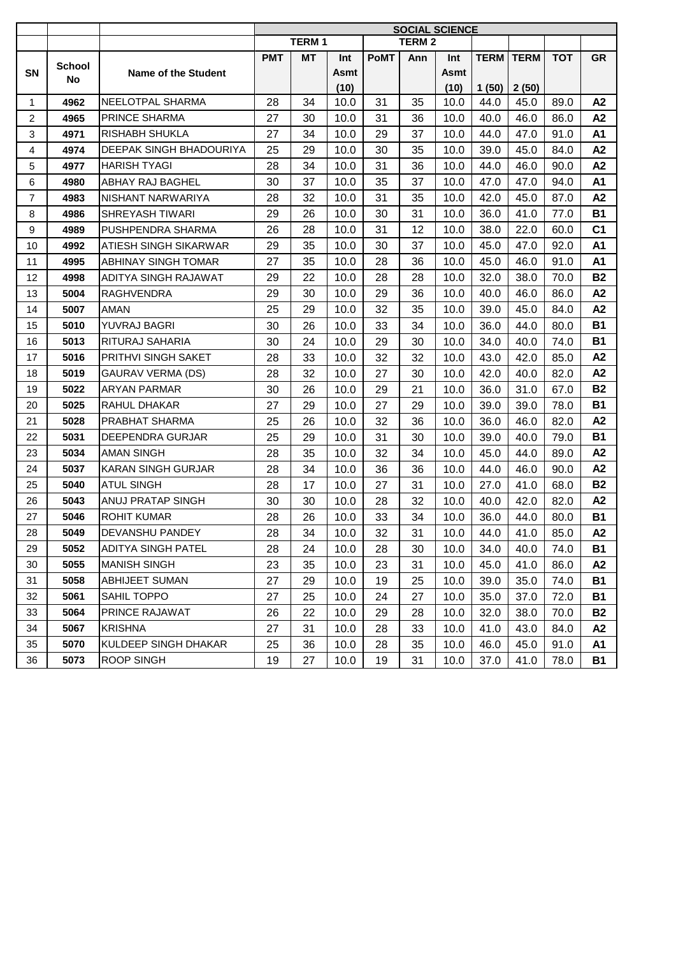|                |        |                            | <b>SOCIAL SCIENCE</b> |              |      |             |              |      |       |                    |            |                |
|----------------|--------|----------------------------|-----------------------|--------------|------|-------------|--------------|------|-------|--------------------|------------|----------------|
|                |        |                            |                       | <b>TERM1</b> |      |             | <b>TERM2</b> |      |       |                    |            |                |
|                | School |                            | <b>PMT</b>            | MT           | Int  | <b>PoMT</b> | Ann          | Int  |       | <b>TERM   TERM</b> | <b>TOT</b> | <b>GR</b>      |
| SN             | No     | Name of the Student        |                       |              | Asmt |             |              | Asmt |       |                    |            |                |
|                |        |                            |                       |              | (10) |             |              | (10) | 1(50) | 2(50)              |            |                |
| $\mathbf{1}$   | 4962   | NEELOTPAL SHARMA           | 28                    | 34           | 10.0 | 31          | 35           | 10.0 | 44.0  | 45.0               | 89.0       | A2             |
| 2              | 4965   | PRINCE SHARMA              | 27                    | 30           | 10.0 | 31          | 36           | 10.0 | 40.0  | 46.0               | 86.0       | A2             |
| 3              | 4971   | RISHABH SHUKLA             | 27                    | 34           | 10.0 | 29          | 37           | 10.0 | 44.0  | 47.0               | 91.0       | A1             |
| $\overline{4}$ | 4974   | DEEPAK SINGH BHADOURIYA    | 25                    | 29           | 10.0 | 30          | 35           | 10.0 | 39.0  | 45.0               | 84.0       | A2             |
| 5              | 4977   | <b>HARISH TYAGI</b>        | 28                    | 34           | 10.0 | 31          | 36           | 10.0 | 44.0  | 46.0               | 90.0       | A2             |
| 6              | 4980   | ABHAY RAJ BAGHEL           | 30                    | 37           | 10.0 | 35          | 37           | 10.0 | 47.0  | 47.0               | 94.0       | A1             |
| $\overline{7}$ | 4983   | NISHANT NARWARIYA          | 28                    | 32           | 10.0 | 31          | 35           | 10.0 | 42.0  | 45.0               | 87.0       | A2             |
| 8              | 4986   | SHREYASH TIWARI            | 29                    | 26           | 10.0 | 30          | 31           | 10.0 | 36.0  | 41.0               | 77.0       | <b>B1</b>      |
| 9              | 4989   | PUSHPENDRA SHARMA          | 26                    | 28           | 10.0 | 31          | 12           | 10.0 | 38.0  | 22.0               | 60.0       | C <sub>1</sub> |
| 10             | 4992   | ATIESH SINGH SIKARWAR      | 29                    | 35           | 10.0 | 30          | 37           | 10.0 | 45.0  | 47.0               | 92.0       | A1             |
| 11             | 4995   | <b>ABHINAY SINGH TOMAR</b> | 27                    | 35           | 10.0 | 28          | 36           | 10.0 | 45.0  | 46.0               | 91.0       | A1             |
| 12             | 4998   | ADITYA SINGH RAJAWAT       | 29                    | 22           | 10.0 | 28          | 28           | 10.0 | 32.0  | 38.0               | 70.0       | <b>B2</b>      |
| 13             | 5004   | <b>RAGHVENDRA</b>          | 29                    | 30           | 10.0 | 29          | 36           | 10.0 | 40.0  | 46.0               | 86.0       | A2             |
| 14             | 5007   | AMAN                       | 25                    | 29           | 10.0 | 32          | 35           | 10.0 | 39.0  | 45.0               | 84.0       | A2             |
| 15             | 5010   | YUVRAJ BAGRI               | 30                    | 26           | 10.0 | 33          | 34           | 10.0 | 36.0  | 44.0               | 80.0       | <b>B1</b>      |
| 16             | 5013   | RITURAJ SAHARIA            | 30                    | 24           | 10.0 | 29          | 30           | 10.0 | 34.0  | 40.0               | 74.0       | B1             |
| 17             | 5016   | PRITHVI SINGH SAKET        | 28                    | 33           | 10.0 | 32          | 32           | 10.0 | 43.0  | 42.0               | 85.0       | A2             |
| 18             | 5019   | <b>GAURAV VERMA (DS)</b>   | 28                    | 32           | 10.0 | 27          | 30           | 10.0 | 42.0  | 40.0               | 82.0       | A2             |
| 19             | 5022   | <b>ARYAN PARMAR</b>        | 30                    | 26           | 10.0 | 29          | 21           | 10.0 | 36.0  | 31.0               | 67.0       | <b>B2</b>      |
| 20             | 5025   | RAHUL DHAKAR               | 27                    | 29           | 10.0 | 27          | 29           | 10.0 | 39.0  | 39.0               | 78.0       | <b>B1</b>      |
| 21             | 5028   | PRABHAT SHARMA             | 25                    | 26           | 10.0 | 32          | 36           | 10.0 | 36.0  | 46.0               | 82.0       | A2             |
| 22             | 5031   | DEEPENDRA GURJAR           | 25                    | 29           | 10.0 | 31          | 30           | 10.0 | 39.0  | 40.0               | 79.0       | <b>B1</b>      |
| 23             | 5034   | <b>AMAN SINGH</b>          | 28                    | 35           | 10.0 | 32          | 34           | 10.0 | 45.0  | 44.0               | 89.0       | A2             |
| 24             | 5037   | <b>KARAN SINGH GURJAR</b>  | 28                    | 34           | 10.0 | 36          | 36           | 10.0 | 44.0  | 46.0               | 90.0       | A2             |
| 25             | 5040   | <b>ATUL SINGH</b>          | 28                    | 17           | 10.0 | 27          | 31           | 10.0 | 27.0  | 41.0               | 68.0       | <b>B2</b>      |
| 26             | 5043   | ANUJ PRATAP SINGH          | 30                    | 30           | 10.0 | 28          | 32           | 10.0 | 40.0  | 42.0               | 82.0       | A2             |
| 27             | 5046   | <b>ROHIT KUMAR</b>         | 28                    | 26           | 10.0 | 33          | 34           | 10.0 | 36.0  | 44.0               | 80.0       | <b>B1</b>      |
| 28             | 5049   | DEVANSHU PANDEY            | 28                    | 34           | 10.0 | 32          | 31           | 10.0 | 44.0  | 41.0               | 85.0       | A2             |
| 29             | 5052   | <b>ADITYA SINGH PATEL</b>  | 28                    | 24           | 10.0 | 28          | 30           | 10.0 | 34.0  | 40.0               | 74.0       | <b>B1</b>      |
| 30             | 5055   | <b>MANISH SINGH</b>        | 23                    | 35           | 10.0 | 23          | 31           | 10.0 | 45.0  | 41.0               | 86.0       | A2             |
| 31             | 5058   | ABHIJEET SUMAN             | 27                    | 29           | 10.0 | 19          | 25           | 10.0 | 39.0  | 35.0               | 74.0       | <b>B1</b>      |
| 32             | 5061   | SAHIL TOPPO                | 27                    | 25           | 10.0 | 24          | 27           | 10.0 | 35.0  | 37.0               | 72.0       | <b>B1</b>      |
| 33             | 5064   | PRINCE RAJAWAT             | 26                    | 22           | 10.0 | 29          | 28           | 10.0 | 32.0  | 38.0               | 70.0       | <b>B2</b>      |
| 34             | 5067   | <b>KRISHNA</b>             | 27                    | 31           | 10.0 | 28          | 33           | 10.0 | 41.0  | 43.0               | 84.0       | A2             |
| 35             | 5070   | KULDEEP SINGH DHAKAR       | 25                    | 36           | 10.0 | 28          | 35           | 10.0 | 46.0  | 45.0               | 91.0       | A1             |
| 36             | 5073   | ROOP SINGH                 | 19                    | 27           | 10.0 | 19          | 31           | 10.0 | 37.0  | 41.0               | 78.0       | <b>B1</b>      |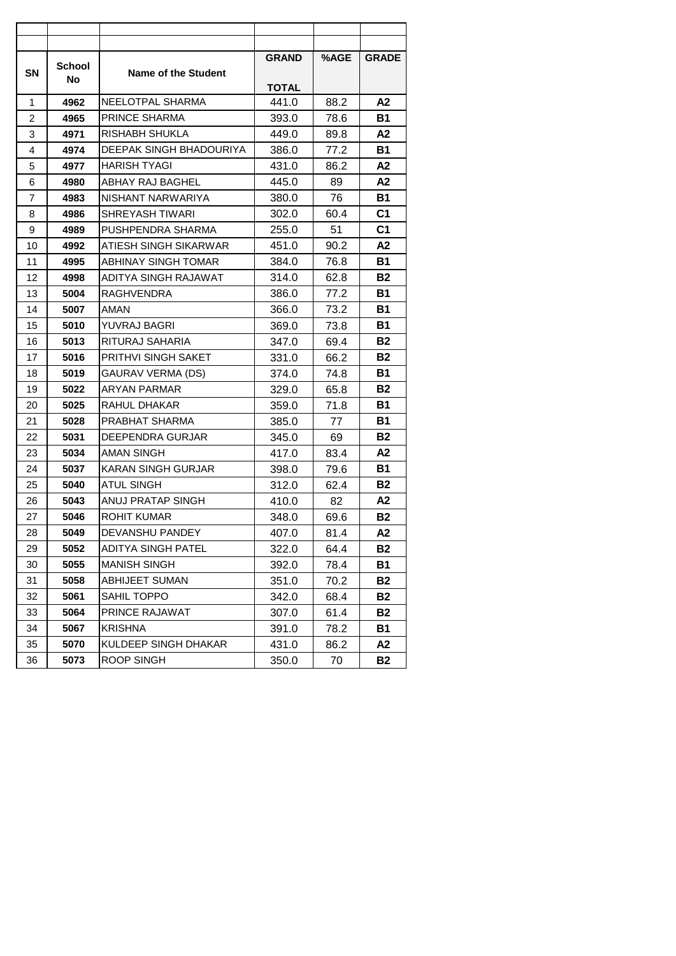| <b>SN</b> | School | Name of the Student       | <b>GRAND</b> | %AGE | <b>GRADE</b>   |
|-----------|--------|---------------------------|--------------|------|----------------|
|           | No     |                           | <b>TOTAL</b> |      |                |
| 1         | 4962   | NEELOTPAL SHARMA          | 441.0        | 88.2 | А2             |
| 2         | 4965   | PRINCE SHARMA             | 393.0        | 78.6 | В1             |
| 3         | 4971   | RISHABH SHUKLA            | 449.0        | 89.8 | А2             |
| 4         | 4974   | DEEPAK SINGH BHADOURIYA   | 386.0        | 77.2 | Β1             |
| 5         | 4977   | HARISH TYAGI              | 431.0        | 86.2 | А2             |
| 6         | 4980   | ABHAY RAJ BAGHEL          | 445.0        | 89   | A2             |
| 7         | 4983   | NISHANT NARWARIYA         | 380.0        | 76   | Β1             |
| 8         | 4986   | SHREYASH TIWARI           | 302.0        | 60.4 | C <sub>1</sub> |
| 9         | 4989   | PUSHPENDRA SHARMA         | 255.0        | 51   | C <sub>1</sub> |
| 10        | 4992   | ATIESH SINGH SIKARWAR     | 451.0        | 90.2 | А2             |
| 11        | 4995   | ABHINAY SINGH TOMAR       | 384.0        | 76.8 | <b>B1</b>      |
| 12        | 4998   | ADITYA SINGH RAJAWAT      | 314.0        | 62.8 | <b>B2</b>      |
| 13        | 5004   | <b>RAGHVENDRA</b>         | 386.0        | 77.2 | В1             |
| 14        | 5007   | AMAN                      | 366.0        | 73.2 | <b>B1</b>      |
| 15        | 5010   | YUVRAJ BAGRI              | 369.0        | 73.8 | <b>B1</b>      |
| 16        | 5013   | RITURAJ SAHARIA           | 347.0        | 69.4 | B2             |
| 17        | 5016   | PRITHVI SINGH SAKET       | 331.0        | 66.2 | B2             |
| 18        | 5019   | GAURAV VERMA (DS)         | 374.0        | 74.8 | В1             |
| 19        | 5022   | ARYAN PARMAR              | 329.0        | 65.8 | <b>B2</b>      |
| 20        | 5025   | RAHUL DHAKAR              | 359.0        | 71.8 | В1             |
| 21        | 5028   | PRABHAT SHARMA            | 385.0        | 77   | Β1             |
| 22        | 5031   | DEEPENDRA GURJAR          | 345.0        | 69   | B2             |
| 23        | 5034   | AMAN SINGH                | 417.0        | 83.4 | А2             |
| 24        | 5037   | <b>KARAN SINGH GURJAR</b> | 398.0        | 79.6 | <b>B1</b>      |
| 25        | 5040   | ATUL SINGH                | 312.0        | 62.4 | В2             |
| 26        | 5043   | ANUJ PRATAP SINGH         | 410.0        | 82   | A2             |
| 27        | 5046   | <b>ROHIT KUMAR</b>        | 348.0        | 69.6 | <b>B2</b>      |
| 28        | 5049   | DEVANSHU PANDEY           | 407.0        | 81.4 | А2             |
| 29        | 5052   | ADITYA SINGH PATEL        | 322.0        | 64.4 | <b>B2</b>      |
| 30        | 5055   | <b>MANISH SINGH</b>       | 392.0        | 78.4 | <b>B1</b>      |
| 31        | 5058   | <b>ABHIJEET SUMAN</b>     | 351.0        | 70.2 | <b>B2</b>      |
| 32        | 5061   | SAHIL TOPPO               | 342.0        | 68.4 | <b>B2</b>      |
| 33        | 5064   | PRINCE RAJAWAT            | 307.0        | 61.4 | <b>B2</b>      |
| 34        | 5067   | <b>KRISHNA</b>            | 391.0        | 78.2 | B1             |
| 35        | 5070   | KULDEEP SINGH DHAKAR      | 431.0        | 86.2 | A2             |
| 36        | 5073   | ROOP SINGH                | 350.0        | 70   | <b>B2</b>      |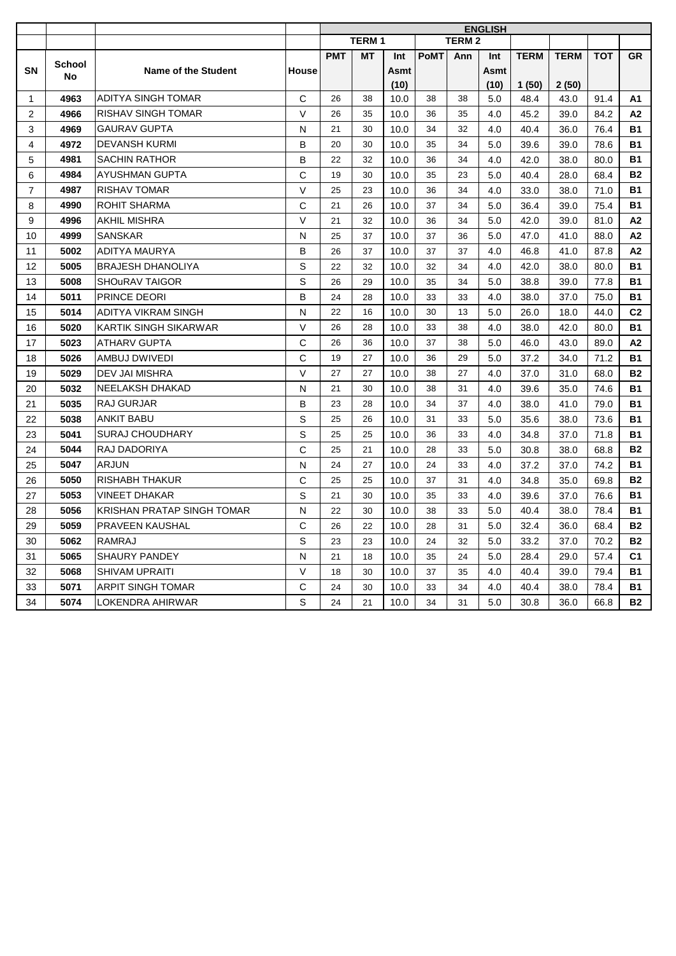|                |               |                              |              | <b>ENGLISH</b> |              |      |             |              |      |             |             |            |                |
|----------------|---------------|------------------------------|--------------|----------------|--------------|------|-------------|--------------|------|-------------|-------------|------------|----------------|
|                |               |                              |              |                | <b>TERM1</b> |      |             | <b>TERM2</b> |      |             |             |            |                |
|                | <b>School</b> |                              |              | <b>PMT</b>     | <b>MT</b>    | Int  | <b>PoMT</b> | Ann          | Int  | <b>TERM</b> | <b>TERM</b> | <b>TOT</b> | <b>GR</b>      |
| <b>SN</b>      | No            | Name of the Student          | <b>House</b> |                |              | Asmt |             |              | Asmt |             |             |            |                |
|                |               |                              |              |                |              | (10) |             |              | (10) | 1(50)       | 2(50)       |            |                |
| $\mathbf{1}$   | 4963          | <b>ADITYA SINGH TOMAR</b>    | C            | 26             | 38           | 10.0 | 38          | 38           | 5.0  | 48.4        | 43.0        | 91.4       | A1             |
| 2              | 4966          | <b>RISHAV SINGH TOMAR</b>    | $\vee$       | 26             | 35           | 10.0 | 36          | 35           | 4.0  | 45.2        | 39.0        | 84.2       | А2             |
| 3              | 4969          | <b>GAURAV GUPTA</b>          | N            | 21             | 30           | 10.0 | 34          | 32           | 4.0  | 40.4        | 36.0        | 76.4       | <b>B1</b>      |
| 4              | 4972          | <b>DEVANSH KURMI</b>         | B            | 20             | 30           | 10.0 | 35          | 34           | 5.0  | 39.6        | 39.0        | 78.6       | <b>B1</b>      |
| 5              | 4981          | <b>SACHIN RATHOR</b>         | B            | 22             | 32           | 10.0 | 36          | 34           | 4.0  | 42.0        | 38.0        | 80.0       | <b>B1</b>      |
| 6              | 4984          | <b>AYUSHMAN GUPTA</b>        | C            | 19             | 30           | 10.0 | 35          | 23           | 5.0  | 40.4        | 28.0        | 68.4       | <b>B2</b>      |
| $\overline{7}$ | 4987          | <b>RISHAV TOMAR</b>          | V            | 25             | 23           | 10.0 | 36          | 34           | 4.0  | 33.0        | 38.0        | 71.0       | <b>B1</b>      |
| 8              | 4990          | <b>ROHIT SHARMA</b>          | C            | 21             | 26           | 10.0 | 37          | 34           | 5.0  | 36.4        | 39.0        | 75.4       | <b>B1</b>      |
| 9              | 4996          | <b>AKHIL MISHRA</b>          | $\vee$       | 21             | 32           | 10.0 | 36          | 34           | 5.0  | 42.0        | 39.0        | 81.0       | А2             |
| 10             | 4999          | <b>SANSKAR</b>               | N            | 25             | 37           | 10.0 | 37          | 36           | 5.0  | 47.0        | 41.0        | 88.0       | A <sub>2</sub> |
| 11             | 5002          | ADITYA MAURYA                | B            | 26             | 37           | 10.0 | 37          | 37           | 4.0  | 46.8        | 41.0        | 87.8       | A2             |
| 12             | 5005          | <b>BRAJESH DHANOLIYA</b>     | S            | 22             | 32           | 10.0 | 32          | 34           | 4.0  | 42.0        | 38.0        | 80.0       | <b>B1</b>      |
| 13             | 5008          | <b>SHOURAV TAIGOR</b>        | S            | 26             | 29           | 10.0 | 35          | 34           | 5.0  | 38.8        | 39.0        | 77.8       | <b>B1</b>      |
| 14             | 5011          | PRINCE DEORI                 | B            | 24             | 28           | 10.0 | 33          | 33           | 4.0  | 38.0        | 37.0        | 75.0       | <b>B1</b>      |
| 15             | 5014          | <b>ADITYA VIKRAM SINGH</b>   | N            | 22             | 16           | 10.0 | 30          | 13           | 5.0  | 26.0        | 18.0        | 44.0       | C <sub>2</sub> |
| 16             | 5020          | <b>KARTIK SINGH SIKARWAR</b> | $\vee$       | 26             | 28           | 10.0 | 33          | 38           | 4.0  | 38.0        | 42.0        | 80.0       | <b>B1</b>      |
| 17             | 5023          | <b>ATHARV GUPTA</b>          | C            | 26             | 36           | 10.0 | 37          | 38           | 5.0  | 46.0        | 43.0        | 89.0       | A2             |
| 18             | 5026          | AMBUJ DWIVEDI                | C            | 19             | 27           | 10.0 | 36          | 29           | 5.0  | 37.2        | 34.0        | 71.2       | <b>B1</b>      |
| 19             | 5029          | DEV JAI MISHRA               | $\vee$       | 27             | 27           | 10.0 | 38          | 27           | 4.0  | 37.0        | 31.0        | 68.0       | <b>B2</b>      |
| 20             | 5032          | NEELAKSH DHAKAD              | N            | 21             | 30           | 10.0 | 38          | 31           | 4.0  | 39.6        | 35.0        | 74.6       | <b>B1</b>      |
| 21             | 5035          | RAJ GURJAR                   | B            | 23             | 28           | 10.0 | 34          | 37           | 4.0  | 38.0        | 41.0        | 79.0       | <b>B1</b>      |
| 22             | 5038          | <b>ANKIT BABU</b>            | S            | 25             | 26           | 10.0 | 31          | 33           | 5.0  | 35.6        | 38.0        | 73.6       | <b>B1</b>      |
| 23             | 5041          | <b>SURAJ CHOUDHARY</b>       | S            | 25             | 25           | 10.0 | 36          | 33           | 4.0  | 34.8        | 37.0        | 71.8       | <b>B1</b>      |
| 24             | 5044          | RAJ DADORIYA                 | C            | 25             | 21           | 10.0 | 28          | 33           | 5.0  | 30.8        | 38.0        | 68.8       | <b>B2</b>      |
| 25             | 5047          | <b>ARJUN</b>                 | N            | 24             | 27           | 10.0 | 24          | 33           | 4.0  | 37.2        | 37.0        | 74.2       | <b>B1</b>      |
| 26             | 5050          | <b>RISHABH THAKUR</b>        | C            | 25             | 25           | 10.0 | 37          | 31           | 4.0  | 34.8        | 35.0        | 69.8       | <b>B2</b>      |
| 27             | 5053          | <b>VINEET DHAKAR</b>         | S            | 21             | 30           | 10.0 | 35          | 33           | 4.0  | 39.6        | 37.0        | 76.6       | <b>B1</b>      |
| 28             | 5056          | KRISHAN PRATAP SINGH TOMAR   | N            | 22             | 30           | 10.0 | 38          | 33           | 5.0  | 40.4        | 38.0        | 78.4       | <b>B1</b>      |
| 29             | 5059          | PRAVEEN KAUSHAL              | C            | 26             | 22           | 10.0 | 28          | 31           | 5.0  | 32.4        | 36.0        | 68.4       | <b>B2</b>      |
| 30             | 5062          | <b>RAMRAJ</b>                | S            | 23             | 23           | 10.0 | 24          | 32           | 5.0  | 33.2        | 37.0        | 70.2       | <b>B2</b>      |
| 31             | 5065          | <b>SHAURY PANDEY</b>         | N            | 21             | 18           | 10.0 | 35          | 24           | 5.0  | 28.4        | 29.0        | 57.4       | C <sub>1</sub> |
| 32             | 5068          | <b>SHIVAM UPRAITI</b>        | $\vee$       | 18             | 30           | 10.0 | 37          | 35           | 4.0  | 40.4        | 39.0        | 79.4       | <b>B1</b>      |
| 33             | 5071          | <b>ARPIT SINGH TOMAR</b>     | C            | 24             | 30           | 10.0 | 33          | 34           | 4.0  | 40.4        | 38.0        | 78.4       | <b>B1</b>      |
| 34             | 5074          | LOKENDRA AHIRWAR             | S            | 24             | 21           | 10.0 | 34          | 31           | 5.0  | 30.8        | 36.0        | 66.8       | <b>B2</b>      |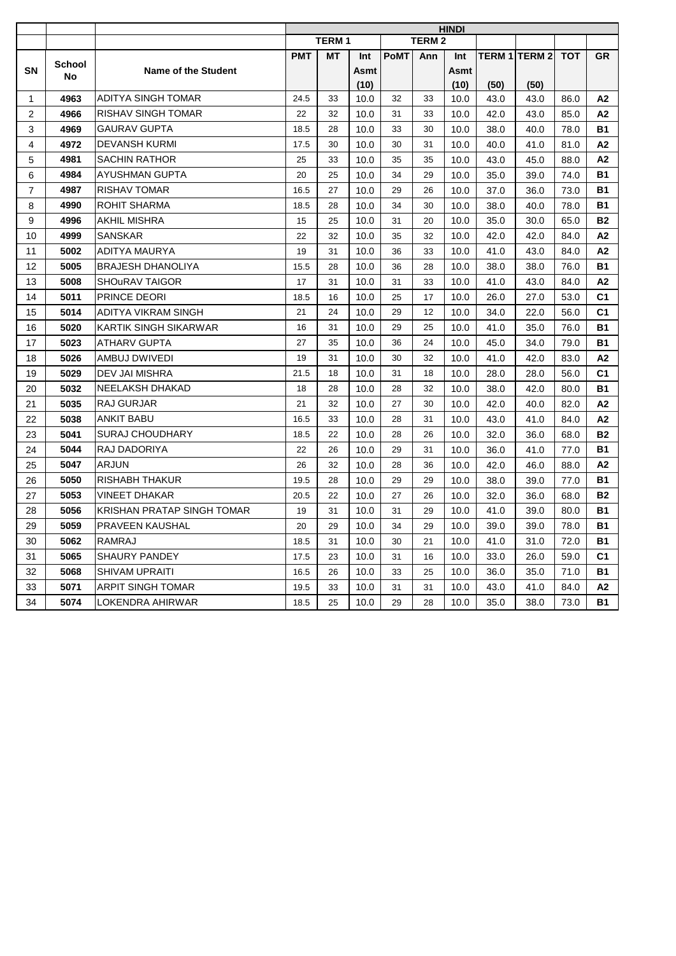|                |               |                            | <b>HINDI</b> |              |      |             |              |      |      |                      |      |                |
|----------------|---------------|----------------------------|--------------|--------------|------|-------------|--------------|------|------|----------------------|------|----------------|
|                |               |                            |              | <b>TERM1</b> |      |             | <b>TERM2</b> |      |      |                      |      |                |
|                |               |                            | <b>PMT</b>   | МT           | Int  | <b>PoMT</b> | Ann          | Int  |      | <b>TERM 1 TERM 2</b> | тот  | <b>GR</b>      |
| <b>SN</b>      | <b>School</b> | Name of the Student        |              |              | Asmt |             |              | Asmt |      |                      |      |                |
|                | No            |                            |              |              | (10) |             |              | (10) | (50) | (50)                 |      |                |
| $\mathbf 1$    | 4963          | ADITYA SINGH TOMAR         | 24.5         | 33           | 10.0 | 32          | 33           | 10.0 | 43.0 | 43.0                 | 86.0 | A2             |
| 2              | 4966          | RISHAV SINGH TOMAR         | 22           | 32           | 10.0 | 31          | 33           | 10.0 | 42.0 | 43.0                 | 85.0 | A2             |
| 3              | 4969          | <b>GAURAV GUPTA</b>        | 18.5         | 28           | 10.0 | 33          | 30           | 10.0 | 38.0 | 40.0                 | 78.0 | <b>B1</b>      |
| 4              | 4972          | <b>DEVANSH KURMI</b>       | 17.5         | 30           | 10.0 | 30          | 31           | 10.0 | 40.0 | 41.0                 | 81.0 | A2             |
| 5              | 4981          | <b>SACHIN RATHOR</b>       | 25           | 33           | 10.0 | 35          | 35           | 10.0 | 43.0 | 45.0                 | 88.0 | A2             |
| 6              | 4984          | AYUSHMAN GUPTA             | 20           | 25           | 10.0 | 34          | 29           | 10.0 | 35.0 | 39.0                 | 74.0 | <b>B1</b>      |
| $\overline{7}$ | 4987          | <b>RISHAV TOMAR</b>        | 16.5         | 27           | 10.0 | 29          | 26           | 10.0 | 37.0 | 36.0                 | 73.0 | <b>B1</b>      |
| 8              | 4990          | ROHIT SHARMA               | 18.5         | 28           | 10.0 | 34          | 30           | 10.0 | 38.0 | 40.0                 | 78.0 | <b>B1</b>      |
| 9              | 4996          | AKHIL MISHRA               | 15           | 25           | 10.0 | 31          | 20           | 10.0 | 35.0 | 30.0                 | 65.0 | <b>B2</b>      |
| 10             | 4999          | <b>SANSKAR</b>             | 22           | 32           | 10.0 | 35          | 32           | 10.0 | 42.0 | 42.0                 | 84.0 | A2             |
| 11             | 5002          | ADITYA MAURYA              | 19           | 31           | 10.0 | 36          | 33           | 10.0 | 41.0 | 43.0                 | 84.0 | A <sub>2</sub> |
| 12             | 5005          | BRAJESH DHANOLIYA          | 15.5         | 28           | 10.0 | 36          | 28           | 10.0 | 38.0 | 38.0                 | 76.0 | B1             |
| 13             | 5008          | <b>SHOURAV TAIGOR</b>      | 17           | 31           | 10.0 | 31          | 33           | 10.0 | 41.0 | 43.0                 | 84.0 | А2             |
| 14             | 5011          | <b>PRINCE DEORI</b>        | 18.5         | 16           | 10.0 | 25          | 17           | 10.0 | 26.0 | 27.0                 | 53.0 | C <sub>1</sub> |
| 15             | 5014          | ADITYA VIKRAM SINGH        | 21           | 24           | 10.0 | 29          | 12           | 10.0 | 34.0 | 22.0                 | 56.0 | C <sub>1</sub> |
| 16             | 5020          | KARTIK SINGH SIKARWAR      | 16           | 31           | 10.0 | 29          | 25           | 10.0 | 41.0 | 35.0                 | 76.0 | B1             |
| 17             | 5023          | ATHARV GUPTA               | 27           | 35           | 10.0 | 36          | 24           | 10.0 | 45.0 | 34.0                 | 79.0 | B1             |
| 18             | 5026          | AMBUJ DWIVEDI              | 19           | 31           | 10.0 | 30          | 32           | 10.0 | 41.0 | 42.0                 | 83.0 | A2             |
| 19             | 5029          | DEV JAI MISHRA             | 21.5         | 18           | 10.0 | 31          | 18           | 10.0 | 28.0 | 28.0                 | 56.0 | C <sub>1</sub> |
| 20             | 5032          | NEELAKSH DHAKAD            | 18           | 28           | 10.0 | 28          | 32           | 10.0 | 38.0 | 42.0                 | 80.0 | <b>B1</b>      |
| 21             | 5035          | RAJ GURJAR                 | 21           | 32           | 10.0 | 27          | 30           | 10.0 | 42.0 | 40.0                 | 82.0 | A2             |
| 22             | 5038          | ANKIT BABU                 | 16.5         | 33           | 10.0 | 28          | 31           | 10.0 | 43.0 | 41.0                 | 84.0 | A2             |
| 23             | 5041          | SURAJ CHOUDHARY            | 18.5         | 22           | 10.0 | 28          | 26           | 10.0 | 32.0 | 36.0                 | 68.0 | <b>B2</b>      |
| 24             | 5044          | RAJ DADORIYA               | 22           | 26           | 10.0 | 29          | 31           | 10.0 | 36.0 | 41.0                 | 77.0 | <b>B1</b>      |
| 25             | 5047          | <b>ARJUN</b>               | 26           | 32           | 10.0 | 28          | 36           | 10.0 | 42.0 | 46.0                 | 88.0 | A2             |
| 26             | 5050          | RISHABH THAKUR             | 19.5         | 28           | 10.0 | 29          | 29           | 10.0 | 38.0 | 39.0                 | 77.0 | <b>B1</b>      |
| 27             | 5053          | VINEET DHAKAR              | 20.5         | 22           | 10.0 | 27          | 26           | 10.0 | 32.0 | 36.0                 | 68.0 | <b>B2</b>      |
| 28             | 5056          | KRISHAN PRATAP SINGH TOMAR | 19           | 31           | 10.0 | 31          | 29           | 10.0 | 41.0 | 39.0                 | 80.0 | <b>B1</b>      |
| 29             | 5059          | <b>PRAVEEN KAUSHAL</b>     | 20           | 29           | 10.0 | 34          | 29           | 10.0 | 39.0 | 39.0                 | 78.0 | <b>B1</b>      |
| 30             | 5062          | RAMRAJ                     | 18.5         | 31           | 10.0 | 30          | 21           | 10.0 | 41.0 | 31.0                 | 72.0 | <b>B1</b>      |
| 31             | 5065          | SHAURY PANDEY              | 17.5         | 23           | 10.0 | 31          | 16           | 10.0 | 33.0 | 26.0                 | 59.0 | C <sub>1</sub> |
| 32             | 5068          | SHIVAM UPRAITI             | 16.5         | 26           | 10.0 | 33          | 25           | 10.0 | 36.0 | 35.0                 | 71.0 | <b>B1</b>      |
| 33             | 5071          | ARPIT SINGH TOMAR          | 19.5         | 33           | 10.0 | 31          | 31           | 10.0 | 43.0 | 41.0                 | 84.0 | A2             |
| 34             | 5074          | LOKENDRA AHIRWAR           | 18.5         | 25           | 10.0 | 29          | 28           | 10.0 | 35.0 | 38.0                 | 73.0 | <b>B1</b>      |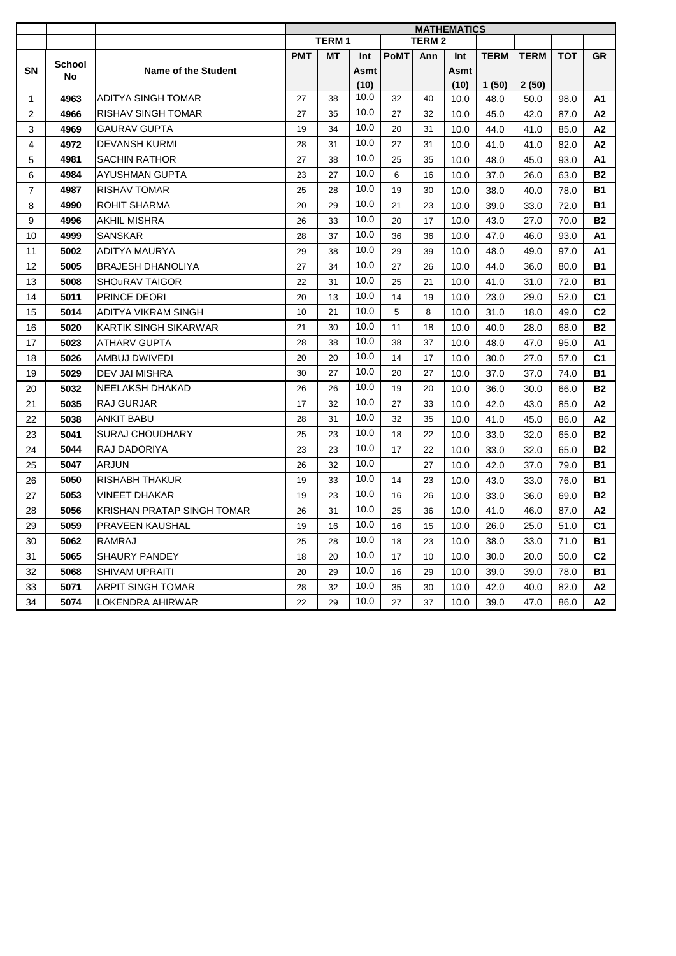|                         |               |                                   | <b>MATHEMATICS</b> |              |      |             |              |      |             |             |            |                |
|-------------------------|---------------|-----------------------------------|--------------------|--------------|------|-------------|--------------|------|-------------|-------------|------------|----------------|
|                         |               |                                   |                    | <b>TERM1</b> |      |             | <b>TERM2</b> |      |             |             |            |                |
|                         | <b>School</b> |                                   | <b>PMT</b>         | <b>MT</b>    | Int  | <b>PoMT</b> | Ann          | Int  | <b>TERM</b> | <b>TERM</b> | <b>TOT</b> | <b>GR</b>      |
| <b>SN</b>               | <b>No</b>     | Name of the Student               |                    |              | Asmt |             |              | Asmt |             |             |            |                |
|                         |               |                                   |                    |              | (10) |             |              | (10) | 1(50)       | 2(50)       |            |                |
| $\mathbf{1}$            | 4963          | <b>ADITYA SINGH TOMAR</b>         | 27                 | 38           | 10.0 | 32          | 40           | 10.0 | 48.0        | 50.0        | 98.0       | A1             |
| 2                       | 4966          | <b>RISHAV SINGH TOMAR</b>         | 27                 | 35           | 10.0 | 27          | 32           | 10.0 | 45.0        | 42.0        | 87.0       | A2             |
| 3                       | 4969          | <b>GAURAV GUPTA</b>               | 19                 | 34           | 10.0 | 20          | 31           | 10.0 | 44.0        | 41.0        | 85.0       | A2             |
| $\overline{\mathbf{4}}$ | 4972          | <b>DEVANSH KURMI</b>              | 28                 | 31           | 10.0 | 27          | 31           | 10.0 | 41.0        | 41.0        | 82.0       | A2             |
| 5                       | 4981          | <b>SACHIN RATHOR</b>              | 27                 | 38           | 10.0 | 25          | 35           | 10.0 | 48.0        | 45.0        | 93.0       | A1             |
| 6                       | 4984          | <b>AYUSHMAN GUPTA</b>             | 23                 | 27           | 10.0 | 6           | 16           | 10.0 | 37.0        | 26.0        | 63.0       | <b>B2</b>      |
| $\overline{7}$          | 4987          | <b>RISHAV TOMAR</b>               | 25                 | 28           | 10.0 | 19          | 30           | 10.0 | 38.0        | 40.0        | 78.0       | <b>B1</b>      |
| 8                       | 4990          | ROHIT SHARMA                      | 20                 | 29           | 10.0 | 21          | 23           | 10.0 | 39.0        | 33.0        | 72.0       | <b>B1</b>      |
| 9                       | 4996          | <b>AKHIL MISHRA</b>               | 26                 | 33           | 10.0 | 20          | 17           | 10.0 | 43.0        | 27.0        | 70.0       | <b>B2</b>      |
| 10                      | 4999          | <b>SANSKAR</b>                    | 28                 | 37           | 10.0 | 36          | 36           | 10.0 | 47.0        | 46.0        | 93.0       | А1             |
| 11                      | 5002          | <b>ADITYA MAURYA</b>              | 29                 | 38           | 10.0 | 29          | 39           | 10.0 | 48.0        | 49.0        | 97.0       | A1             |
| 12                      | 5005          | <b>BRAJESH DHANOLIYA</b>          | 27                 | 34           | 10.0 | 27          | 26           | 10.0 | 44.0        | 36.0        | 80.0       | <b>B1</b>      |
| 13                      | 5008          | <b>SHOURAV TAIGOR</b>             | 22                 | 31           | 10.0 | 25          | 21           | 10.0 | 41.0        | 31.0        | 72.0       | <b>B1</b>      |
| 14                      | 5011          | PRINCE DEORI                      | 20                 | 13           | 10.0 | 14          | 19           | 10.0 | 23.0        | 29.0        | 52.0       | C <sub>1</sub> |
| 15                      | 5014          | ADITYA VIKRAM SINGH               | 10                 | 21           | 10.0 | 5           | 8            | 10.0 | 31.0        | 18.0        | 49.0       | C <sub>2</sub> |
| 16                      | 5020          | KARTIK SINGH SIKARWAR             | 21                 | 30           | 10.0 | 11          | 18           | 10.0 | 40.0        | 28.0        | 68.0       | <b>B2</b>      |
| 17                      | 5023          | <b>ATHARV GUPTA</b>               | 28                 | 38           | 10.0 | 38          | 37           | 10.0 | 48.0        | 47.0        | 95.0       | A1             |
| 18                      | 5026          | AMBUJ DWIVEDI                     | 20                 | 20           | 10.0 | 14          | 17           | 10.0 | 30.0        | 27.0        | 57.0       | C <sub>1</sub> |
| 19                      | 5029          | DEV JAI MISHRA                    | 30                 | 27           | 10.0 | 20          | 27           | 10.0 | 37.0        | 37.0        | 74.0       | <b>B1</b>      |
| 20                      | 5032          | <b>NEELAKSH DHAKAD</b>            | 26                 | 26           | 10.0 | 19          | 20           | 10.0 | 36.0        | 30.0        | 66.0       | <b>B2</b>      |
| 21                      | 5035          | <b>RAJ GURJAR</b>                 | 17                 | 32           | 10.0 | 27          | 33           | 10.0 | 42.0        | 43.0        | 85.0       | A2             |
| 22                      | 5038          | <b>ANKIT BABU</b>                 | 28                 | 31           | 10.0 | 32          | 35           | 10.0 | 41.0        | 45.0        | 86.0       | A2             |
| 23                      | 5041          | <b>SURAJ CHOUDHARY</b>            | 25                 | 23           | 10.0 | 18          | 22           | 10.0 | 33.0        | 32.0        | 65.0       | <b>B2</b>      |
| 24                      | 5044          | RAJ DADORIYA                      | 23                 | 23           | 10.0 | 17          | 22           | 10.0 | 33.0        | 32.0        | 65.0       | <b>B2</b>      |
| 25                      | 5047          | <b>ARJUN</b>                      | 26                 | 32           | 10.0 |             | 27           | 10.0 | 42.0        | 37.0        | 79.0       | <b>B1</b>      |
| 26                      | 5050          | <b>RISHABH THAKUR</b>             | 19                 | 33           | 10.0 | 14          | 23           | 10.0 | 43.0        | 33.0        | 76.0       | <b>B1</b>      |
| 27                      | 5053          | <b>VINEET DHAKAR</b>              | 19                 | 23           | 10.0 | 16          | 26           | 10.0 | 33.0        | 36.0        | 69.0       | <b>B2</b>      |
| 28                      | 5056          | <b>KRISHAN PRATAP SINGH TOMAR</b> | 26                 | 31           | 10.0 | 25          | 36           | 10.0 | 41.0        | 46.0        | 87.0       | A2             |
| 29                      | 5059          | PRAVEEN KAUSHAL                   | 19                 | 16           | 10.0 | 16          | 15           | 10.0 | 26.0        | 25.0        | 51.0       | C <sub>1</sub> |
| 30                      | 5062          | <b>RAMRAJ</b>                     | 25                 | 28           | 10.0 | 18          | 23           | 10.0 | 38.0        | 33.0        | 71.0       | <b>B1</b>      |
| 31                      | 5065          | SHAURY PANDEY                     | 18                 | 20           | 10.0 | 17          | 10           | 10.0 | 30.0        | 20.0        | 50.0       | C <sub>2</sub> |
| 32                      | 5068          | <b>SHIVAM UPRAITI</b>             | 20                 | 29           | 10.0 | 16          | 29           | 10.0 | 39.0        | 39.0        | 78.0       | <b>B1</b>      |
| 33                      | 5071          | <b>ARPIT SINGH TOMAR</b>          | 28                 | 32           | 10.0 | 35          | 30           | 10.0 | 42.0        | 40.0        | 82.0       | A2             |
| 34                      | 5074          | LOKENDRA AHIRWAR                  | 22                 | 29           | 10.0 | 27          | 37           | 10.0 | 39.0        | 47.0        | 86.0       | A2             |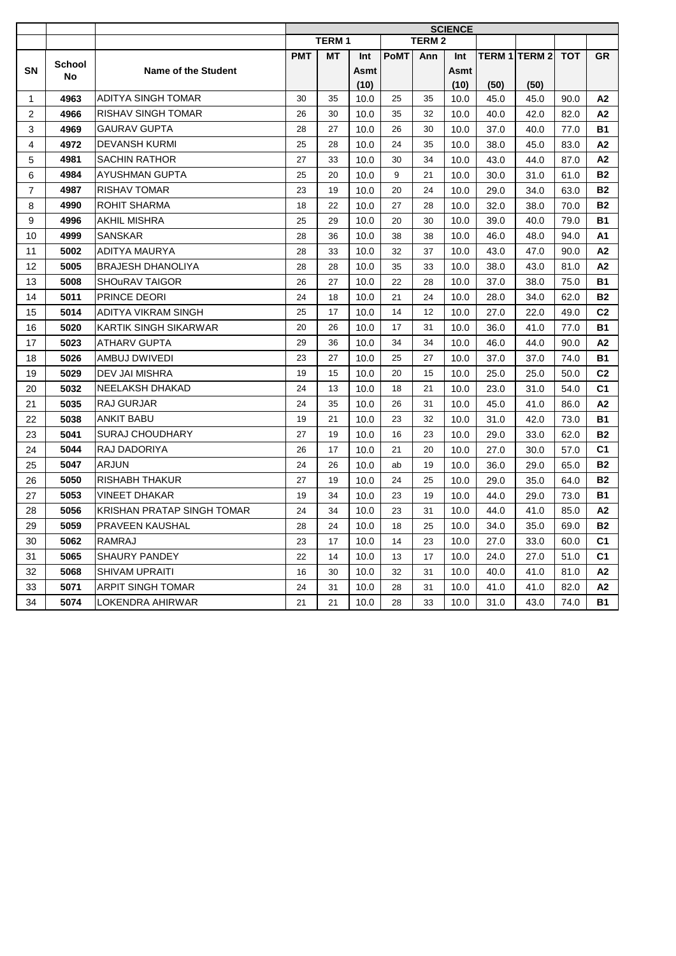|                |                     |                            | <b>SCIENCE</b> |              |      |             |              |      |      |                      |      |                |
|----------------|---------------------|----------------------------|----------------|--------------|------|-------------|--------------|------|------|----------------------|------|----------------|
|                |                     |                            |                | <b>TERM1</b> |      |             | <b>TERM2</b> |      |      |                      |      |                |
|                |                     |                            | <b>PMT</b>     | МT           | Int  | <b>PoMT</b> | Ann          | Int  |      | <b>TERM 1 TERM 2</b> | тот  | <b>GR</b>      |
| <b>SN</b>      | <b>School</b><br>No | Name of the Student        |                |              | Asmt |             |              | Asmt |      |                      |      |                |
|                |                     |                            |                |              | (10) |             |              | (10) | (50) | (50)                 |      |                |
| $\mathbf 1$    | 4963                | ADITYA SINGH TOMAR         | 30             | 35           | 10.0 | 25          | 35           | 10.0 | 45.0 | 45.0                 | 90.0 | A2             |
| 2              | 4966                | RISHAV SINGH TOMAR         | 26             | 30           | 10.0 | 35          | 32           | 10.0 | 40.0 | 42.0                 | 82.0 | A2             |
| 3              | 4969                | <b>GAURAV GUPTA</b>        | 28             | 27           | 10.0 | 26          | 30           | 10.0 | 37.0 | 40.0                 | 77.0 | <b>B1</b>      |
| 4              | 4972                | DEVANSH KURMI              | 25             | 28           | 10.0 | 24          | 35           | 10.0 | 38.0 | 45.0                 | 83.0 | A2             |
| 5              | 4981                | <b>SACHIN RATHOR</b>       | 27             | 33           | 10.0 | 30          | 34           | 10.0 | 43.0 | 44.0                 | 87.0 | A2             |
| 6              | 4984                | AYUSHMAN GUPTA             | 25             | 20           | 10.0 | 9           | 21           | 10.0 | 30.0 | 31.0                 | 61.0 | <b>B2</b>      |
| $\overline{7}$ | 4987                | <b>RISHAV TOMAR</b>        | 23             | 19           | 10.0 | 20          | 24           | 10.0 | 29.0 | 34.0                 | 63.0 | <b>B2</b>      |
| 8              | 4990                | ROHIT SHARMA               | 18             | 22           | 10.0 | 27          | 28           | 10.0 | 32.0 | 38.0                 | 70.0 | <b>B2</b>      |
| 9              | 4996                | AKHIL MISHRA               | 25             | 29           | 10.0 | 20          | 30           | 10.0 | 39.0 | 40.0                 | 79.0 | <b>B1</b>      |
| 10             | 4999                | <b>SANSKAR</b>             | 28             | 36           | 10.0 | 38          | 38           | 10.0 | 46.0 | 48.0                 | 94.0 | A1             |
| 11             | 5002                | ADITYA MAURYA              | 28             | 33           | 10.0 | 32          | 37           | 10.0 | 43.0 | 47.0                 | 90.0 | A <sub>2</sub> |
| 12             | 5005                | <b>BRAJESH DHANOLIYA</b>   | 28             | 28           | 10.0 | 35          | 33           | 10.0 | 38.0 | 43.0                 | 81.0 | A2             |
| 13             | 5008                | <b>SHOURAV TAIGOR</b>      | 26             | 27           | 10.0 | 22          | 28           | 10.0 | 37.0 | 38.0                 | 75.0 | B1             |
| 14             | 5011                | PRINCE DEORI               | 24             | 18           | 10.0 | 21          | 24           | 10.0 | 28.0 | 34.0                 | 62.0 | <b>B2</b>      |
| 15             | 5014                | ADITYA VIKRAM SINGH        | 25             | 17           | 10.0 | 14          | 12           | 10.0 | 27.0 | 22.0                 | 49.0 | C <sub>2</sub> |
| 16             | 5020                | KARTIK SINGH SIKARWAR      | 20             | 26           | 10.0 | 17          | 31           | 10.0 | 36.0 | 41.0                 | 77.0 | B1             |
| 17             | 5023                | ATHARV GUPTA               | 29             | 36           | 10.0 | 34          | 34           | 10.0 | 46.0 | 44.0                 | 90.0 | А2             |
| 18             | 5026                | AMBUJ DWIVEDI              | 23             | 27           | 10.0 | 25          | 27           | 10.0 | 37.0 | 37.0                 | 74.0 | <b>B1</b>      |
| 19             | 5029                | DEV JAI MISHRA             | 19             | 15           | 10.0 | 20          | 15           | 10.0 | 25.0 | 25.0                 | 50.0 | C <sub>2</sub> |
| 20             | 5032                | NEELAKSH DHAKAD            | 24             | 13           | 10.0 | 18          | 21           | 10.0 | 23.0 | 31.0                 | 54.0 | C <sub>1</sub> |
| 21             | 5035                | RAJ GURJAR                 | 24             | 35           | 10.0 | 26          | 31           | 10.0 | 45.0 | 41.0                 | 86.0 | A2             |
| 22             | 5038                | ANKIT BABU                 | 19             | 21           | 10.0 | 23          | 32           | 10.0 | 31.0 | 42.0                 | 73.0 | <b>B1</b>      |
| 23             | 5041                | SURAJ CHOUDHARY            | 27             | 19           | 10.0 | 16          | 23           | 10.0 | 29.0 | 33.0                 | 62.0 | <b>B2</b>      |
| 24             | 5044                | RAJ DADORIYA               | 26             | 17           | 10.0 | 21          | 20           | 10.0 | 27.0 | 30.0                 | 57.0 | C <sub>1</sub> |
| 25             | 5047                | <b>ARJUN</b>               | 24             | 26           | 10.0 | ab          | 19           | 10.0 | 36.0 | 29.0                 | 65.0 | <b>B2</b>      |
| 26             | 5050                | RISHABH THAKUR             | 27             | 19           | 10.0 | 24          | 25           | 10.0 | 29.0 | 35.0                 | 64.0 | <b>B2</b>      |
| 27             | 5053                | VINEET DHAKAR              | 19             | 34           | 10.0 | 23          | 19           | 10.0 | 44.0 | 29.0                 | 73.0 | <b>B1</b>      |
| 28             | 5056                | KRISHAN PRATAP SINGH TOMAR | 24             | 34           | 10.0 | 23          | 31           | 10.0 | 44.0 | 41.0                 | 85.0 | A2             |
| 29             | 5059                | PRAVEEN KAUSHAL            | 28             | 24           | 10.0 | 18          | 25           | 10.0 | 34.0 | 35.0                 | 69.0 | <b>B2</b>      |
| 30             | 5062                | RAMRAJ                     | 23             | 17           | 10.0 | 14          | 23           | 10.0 | 27.0 | 33.0                 | 60.0 | C <sub>1</sub> |
| 31             | 5065                | SHAURY PANDEY              | 22             | 14           | 10.0 | 13          | 17           | 10.0 | 24.0 | 27.0                 | 51.0 | C <sub>1</sub> |
| 32             | 5068                | SHIVAM UPRAITI             | 16             | 30           | 10.0 | 32          | 31           | 10.0 | 40.0 | 41.0                 | 81.0 | A2             |
| 33             | 5071                | ARPIT SINGH TOMAR          | 24             | 31           | 10.0 | 28          | 31           | 10.0 | 41.0 | 41.0                 | 82.0 | A2             |
| 34             | 5074                | LOKENDRA AHIRWAR           | 21             | 21           | 10.0 | 28          | 33           | 10.0 | 31.0 | 43.0                 | 74.0 | <b>B1</b>      |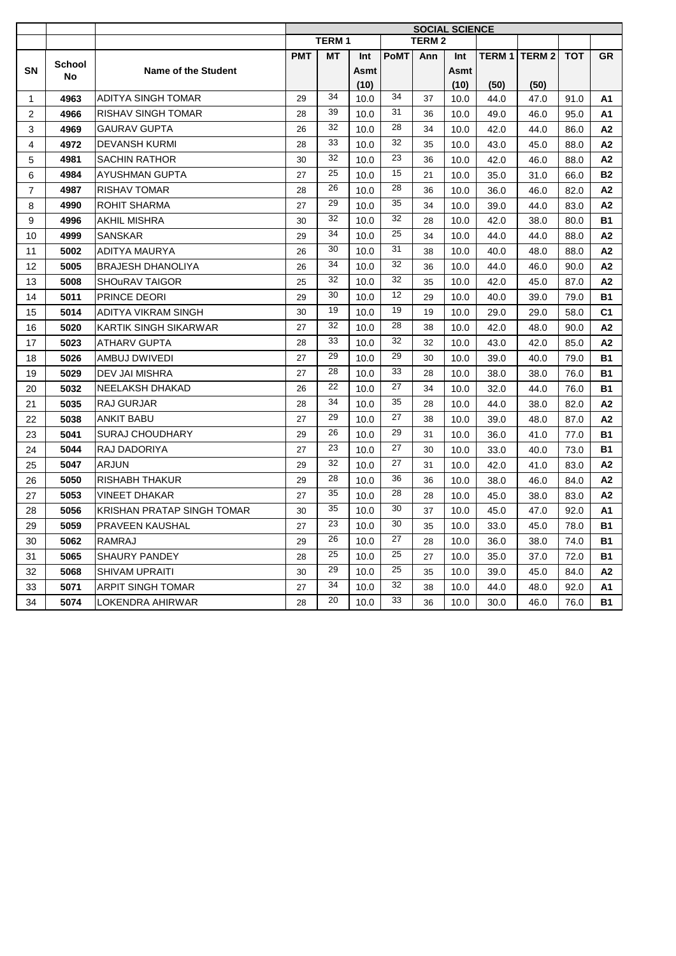|                |               |                              | <b>SOCIAL SCIENCE</b> |              |      |             |              |      |      |                          |            |                |
|----------------|---------------|------------------------------|-----------------------|--------------|------|-------------|--------------|------|------|--------------------------|------------|----------------|
|                |               |                              |                       | <b>TERM1</b> |      |             | <b>TERM2</b> |      |      |                          |            |                |
|                | <b>School</b> |                              | <b>PMT</b>            | <b>MT</b>    | Int  | <b>PoMT</b> | Ann          | Int  |      | <b>TERM 1   TERM 2  </b> | <b>TOT</b> | <b>GR</b>      |
| <b>SN</b>      | No            | Name of the Student          |                       |              | Asmt |             |              | Asmt |      |                          |            |                |
|                |               |                              |                       |              | (10) |             |              | (10) | (50) | (50)                     |            |                |
| $\mathbf{1}$   | 4963          | <b>ADITYA SINGH TOMAR</b>    | 29                    | 34           | 10.0 | 34          | 37           | 10.0 | 44.0 | 47.0                     | 91.0       | A1             |
| $\overline{2}$ | 4966          | <b>RISHAV SINGH TOMAR</b>    | 28                    | 39           | 10.0 | 31          | 36           | 10.0 | 49.0 | 46.0                     | 95.0       | A1             |
| 3              | 4969          | <b>GAURAV GUPTA</b>          | 26                    | 32           | 10.0 | 28          | 34           | 10.0 | 42.0 | 44.0                     | 86.0       | A2             |
| 4              | 4972          | <b>DEVANSH KURMI</b>         | 28                    | 33           | 10.0 | 32          | 35           | 10.0 | 43.0 | 45.0                     | 88.0       | A2             |
| 5              | 4981          | <b>SACHIN RATHOR</b>         | 30                    | 32           | 10.0 | 23          | 36           | 10.0 | 42.0 | 46.0                     | 88.0       | A2             |
| 6              | 4984          | <b>AYUSHMAN GUPTA</b>        | 27                    | 25           | 10.0 | 15          | 21           | 10.0 | 35.0 | 31.0                     | 66.0       | <b>B2</b>      |
| $\overline{7}$ | 4987          | <b>RISHAV TOMAR</b>          | 28                    | 26           | 10.0 | 28          | 36           | 10.0 | 36.0 | 46.0                     | 82.0       | A2             |
| 8              | 4990          | ROHIT SHARMA                 | 27                    | 29           | 10.0 | 35          | 34           | 10.0 | 39.0 | 44.0                     | 83.0       | А2             |
| 9              | 4996          | AKHIL MISHRA                 | 30                    | 32           | 10.0 | 32          | 28           | 10.0 | 42.0 | 38.0                     | 80.0       | <b>B1</b>      |
| 10             | 4999          | SANSKAR                      | 29                    | 34           | 10.0 | 25          | 34           | 10.0 | 44.0 | 44.0                     | 88.0       | A2             |
| 11             | 5002          | ADITYA MAURYA                | 26                    | 30           | 10.0 | 31          | 38           | 10.0 | 40.0 | 48.0                     | 88.0       | A2             |
| 12             | 5005          | <b>BRAJESH DHANOLIYA</b>     | 26                    | 34           | 10.0 | 32          | 36           | 10.0 | 44.0 | 46.0                     | 90.0       | A2             |
| 13             | 5008          | <b>SHOURAV TAIGOR</b>        | 25                    | 32           | 10.0 | 32          | 35           | 10.0 | 42.0 | 45.0                     | 87.0       | A2             |
| 14             | 5011          | PRINCE DEORI                 | 29                    | 30           | 10.0 | 12          | 29           | 10.0 | 40.0 | 39.0                     | 79.0       | <b>B1</b>      |
| 15             | 5014          | <b>ADITYA VIKRAM SINGH</b>   | 30                    | 19           | 10.0 | 19          | 19           | 10.0 | 29.0 | 29.0                     | 58.0       | C <sub>1</sub> |
| 16             | 5020          | <b>KARTIK SINGH SIKARWAR</b> | 27                    | 32           | 10.0 | 28          | 38           | 10.0 | 42.0 | 48.0                     | 90.0       | А2             |
| 17             | 5023          | <b>ATHARV GUPTA</b>          | 28                    | 33           | 10.0 | 32          | 32           | 10.0 | 43.0 | 42.0                     | 85.0       | A2             |
| 18             | 5026          | AMBUJ DWIVEDI                | 27                    | 29           | 10.0 | 29          | 30           | 10.0 | 39.0 | 40.0                     | 79.0       | <b>B1</b>      |
| 19             | 5029          | DEV JAI MISHRA               | 27                    | 28           | 10.0 | 33          | 28           | 10.0 | 38.0 | 38.0                     | 76.0       | <b>B1</b>      |
| 20             | 5032          | NEELAKSH DHAKAD              | 26                    | 22           | 10.0 | 27          | 34           | 10.0 | 32.0 | 44.0                     | 76.0       | <b>B1</b>      |
| 21             | 5035          | RAJ GURJAR                   | 28                    | 34           | 10.0 | 35          | 28           | 10.0 | 44.0 | 38.0                     | 82.0       | A2             |
| 22             | 5038          | <b>ANKIT BABU</b>            | 27                    | 29           | 10.0 | 27          | 38           | 10.0 | 39.0 | 48.0                     | 87.0       | A2             |
| 23             | 5041          | <b>SURAJ CHOUDHARY</b>       | 29                    | 26           | 10.0 | 29          | 31           | 10.0 | 36.0 | 41.0                     | 77.0       | <b>B1</b>      |
| 24             | 5044          | RAJ DADORIYA                 | 27                    | 23           | 10.0 | 27          | 30           | 10.0 | 33.0 | 40.0                     | 73.0       | <b>B1</b>      |
| 25             | 5047          | ARJUN                        | 29                    | 32           | 10.0 | 27          | 31           | 10.0 | 42.0 | 41.0                     | 83.0       | A2             |
| 26             | 5050          | RISHABH THAKUR               | 29                    | 28           | 10.0 | 36          | 36           | 10.0 | 38.0 | 46.0                     | 84.0       | А2             |
| 27             | 5053          | VINEET DHAKAR                | 27                    | 35           | 10.0 | 28          | 28           | 10.0 | 45.0 | 38.0                     | 83.0       | A2             |
| 28             | 5056          | KRISHAN PRATAP SINGH TOMAR   | 30                    | 35           | 10.0 | 30          | 37           | 10.0 | 45.0 | 47.0                     | 92.0       | А1             |
| 29             | 5059          | <b>PRAVEEN KAUSHAL</b>       | 27                    | 23           | 10.0 | 30          | 35           | 10.0 | 33.0 | 45.0                     | 78.0       | <b>B1</b>      |
| 30             | 5062          | <b>RAMRAJ</b>                | 29                    | 26           | 10.0 | 27          | 28           | 10.0 | 36.0 | 38.0                     | 74.0       | <b>B1</b>      |
| 31             | 5065          | SHAURY PANDEY                | 28                    | 25           | 10.0 | 25          | 27           | 10.0 | 35.0 | 37.0                     | 72.0       | <b>B1</b>      |
| 32             | 5068          | <b>SHIVAM UPRAITI</b>        | 30                    | 29           | 10.0 | 25          | 35           | 10.0 | 39.0 | 45.0                     | 84.0       | А2             |
| 33             | 5071          | <b>ARPIT SINGH TOMAR</b>     | 27                    | 34           | 10.0 | 32          | 38           | 10.0 | 44.0 | 48.0                     | 92.0       | А1             |
| 34             | 5074          | LOKENDRA AHIRWAR             | 28                    | 20           | 10.0 | 33          | 36           | 10.0 | 30.0 | 46.0                     | 76.0       | В1             |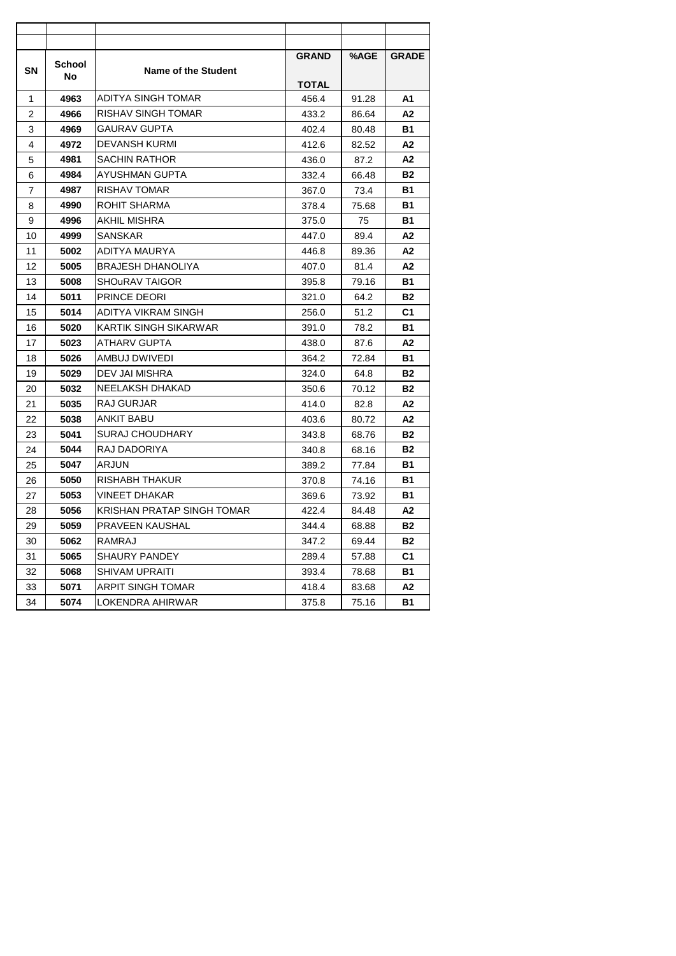| SΝ | School | Name of the Student        | <b>GRAND</b> | %AGE  | <b>GRADE</b> |
|----|--------|----------------------------|--------------|-------|--------------|
|    | No     |                            | <b>TOTAL</b> |       |              |
| 1  | 4963   | ADITYA SINGH TOMAR         | 456.4        | 91.28 | Α1           |
| 2  | 4966   | <b>RISHAV SINGH TOMAR</b>  | 433.2        | 86.64 | А2           |
| 3  | 4969   | <b>GAURAV GUPTA</b>        | 402.4        | 80.48 | В1           |
| 4  | 4972   | <b>DEVANSH KURMI</b>       | 412.6        | 82.52 | А2           |
| 5  | 4981   | <b>SACHIN RATHOR</b>       | 436.0        | 87.2  | А2           |
| 6  | 4984   | <b>AYUSHMAN GUPTA</b>      | 332.4        | 66.48 | <b>B2</b>    |
| 7  | 4987   | <b>RISHAV TOMAR</b>        | 367.0        | 73.4  | В1           |
| 8  | 4990   | <b>ROHIT SHARMA</b>        | 378.4        | 75.68 | В1           |
| 9  | 4996   | AKHIL MISHRA               | 375.0        | 75    | <b>B1</b>    |
| 10 | 4999   | SANSKAR                    | 447.0        | 89.4  | Α2           |
| 11 | 5002   | ADITYA MAURYA              | 446.8        | 89.36 | А2           |
| 12 | 5005   | <b>BRAJESH DHANOLIYA</b>   | 407.0        | 81.4  | А2           |
| 13 | 5008   | <b>SHOURAV TAIGOR</b>      | 395.8        | 79.16 | В1           |
| 14 | 5011   | <b>PRINCE DEORI</b>        | 321.0        | 64.2  | <b>B2</b>    |
| 15 | 5014   | ADITYA VIKRAM SINGH        | 256.0        | 51.2  | C1           |
| 16 | 5020   | KARTIK SINGH SIKARWAR      | 391.0        | 78.2  | В1           |
| 17 | 5023   | <b>ATHARV GUPTA</b>        | 438.0        | 87.6  | A2           |
| 18 | 5026   | AMBUJ DWIVEDI              | 364.2        | 72.84 | <b>B1</b>    |
| 19 | 5029   | DEV JAI MISHRA             | 324.0        | 64.8  | <b>B2</b>    |
| 20 | 5032   | <b>NEELAKSH DHAKAD</b>     | 350.6        | 70.12 | <b>B2</b>    |
| 21 | 5035   | <b>RAJ GURJAR</b>          | 414.0        | 82.8  | А2           |
| 22 | 5038   | <b>ANKIT BABU</b>          | 403.6        | 80.72 | А2           |
| 23 | 5041   | <b>SURAJ CHOUDHARY</b>     | 343.8        | 68.76 | <b>B2</b>    |
| 24 | 5044   | RAJ DADORIYA               | 340.8        | 68.16 | <b>B2</b>    |
| 25 | 5047   | <b>ARJUN</b>               | 389.2        | 77.84 | В1           |
| 26 | 5050   | RISHABH THAKUR             | 370.8        | 74.16 | В1           |
| 27 | 5053   | <b>VINEET DHAKAR</b>       | 369.6        | 73.92 | В1           |
| 28 | 5056   | KRISHAN PRATAP SINGH TOMAR | 422.4        | 84.48 | Α2           |
| 29 | 5059   | PRAVEEN KAUSHAL            | 344.4        | 68.88 | <b>B2</b>    |
| 30 | 5062   | RAMRAJ                     | 347.2        | 69.44 | <b>B2</b>    |
| 31 | 5065   | <b>SHAURY PANDEY</b>       | 289.4        | 57.88 | C1           |
| 32 | 5068   | <b>SHIVAM UPRAITI</b>      | 393.4        | 78.68 | <b>B1</b>    |
| 33 | 5071   | ARPIT SINGH TOMAR          | 418.4        | 83.68 | А2           |
| 34 | 5074   | LOKENDRA AHIRWAR           | 375.8        | 75.16 | <b>B1</b>    |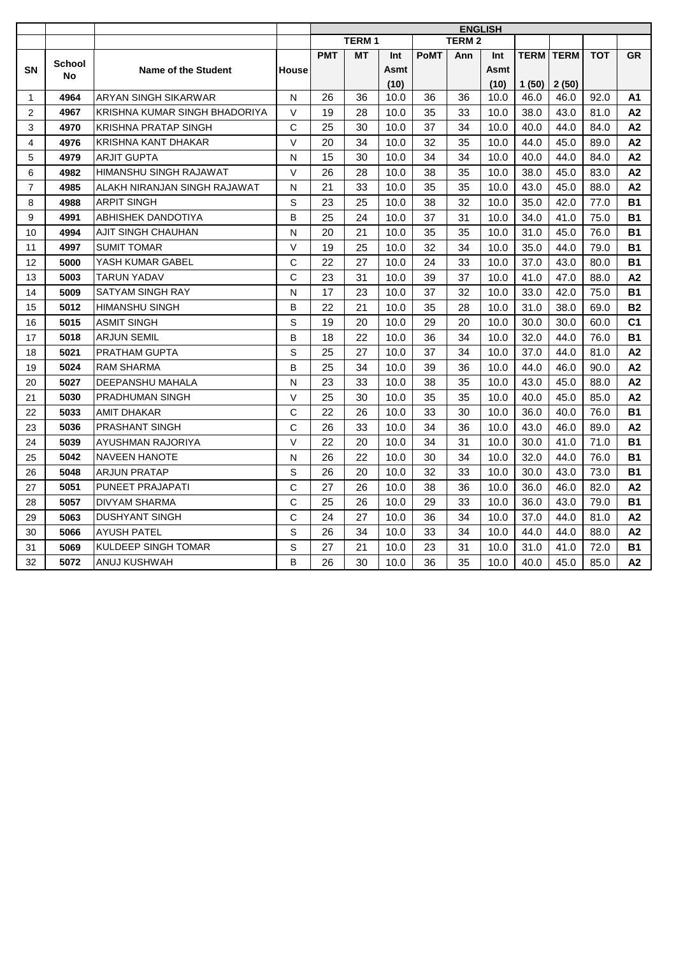|                |               |                               |              |            |              |      |             | <b>ENGLISH</b> |      |                  |       |            |                |
|----------------|---------------|-------------------------------|--------------|------------|--------------|------|-------------|----------------|------|------------------|-------|------------|----------------|
|                |               |                               |              |            | <b>TERM1</b> |      |             | <b>TERM2</b>   |      |                  |       |            |                |
|                | <b>School</b> |                               |              | <b>PMT</b> | <b>MT</b>    | Int  | <b>PoMT</b> | Ann            | Int  | <b>TERM TERM</b> |       | <b>TOT</b> | <b>GR</b>      |
| <b>SN</b>      | No            | Name of the Student           | House        |            |              | Asmt |             |                | Asmt |                  |       |            |                |
|                |               |                               |              |            |              | (10) |             |                | (10) | 1(50)            | 2(50) |            |                |
| $\mathbf{1}$   | 4964          | ARYAN SINGH SIKARWAR          | N            | 26         | 36           | 10.0 | 36          | 36             | 10.0 | 46.0             | 46.0  | 92.0       | A1             |
| 2              | 4967          | KRISHNA KUMAR SINGH BHADORIYA | $\vee$       | 19         | 28           | 10.0 | 35          | 33             | 10.0 | 38.0             | 43.0  | 81.0       | A2             |
| 3              | 4970          | <b>KRISHNA PRATAP SINGH</b>   | C            | 25         | 30           | 10.0 | 37          | 34             | 10.0 | 40.0             | 44.0  | 84.0       | A2             |
| 4              | 4976          | KRISHNA KANT DHAKAR           | V            | 20         | 34           | 10.0 | 32          | 35             | 10.0 | 44.0             | 45.0  | 89.0       | A2             |
| 5              | 4979          | <b>ARJIT GUPTA</b>            | N            | 15         | 30           | 10.0 | 34          | 34             | 10.0 | 40.0             | 44.0  | 84.0       | A <sub>2</sub> |
| 6              | 4982          | <b>HIMANSHU SINGH RAJAWAT</b> | $\vee$       | 26         | 28           | 10.0 | 38          | 35             | 10.0 | 38.0             | 45.0  | 83.0       | A2             |
| $\overline{7}$ | 4985          | ALAKH NIRANJAN SINGH RAJAWAT  | N            | 21         | 33           | 10.0 | 35          | 35             | 10.0 | 43.0             | 45.0  | 88.0       | A2             |
| 8              | 4988          | <b>ARPIT SINGH</b>            | S            | 23         | 25           | 10.0 | 38          | 32             | 10.0 | 35.0             | 42.0  | 77.0       | <b>B1</b>      |
| 9              | 4991          | <b>ABHISHEK DANDOTIYA</b>     | B            | 25         | 24           | 10.0 | 37          | 31             | 10.0 | 34.0             | 41.0  | 75.0       | <b>B1</b>      |
| 10             | 4994          | <b>AJIT SINGH CHAUHAN</b>     | N            | 20         | 21           | 10.0 | 35          | 35             | 10.0 | 31.0             | 45.0  | 76.0       | <b>B1</b>      |
| 11             | 4997          | <b>SUMIT TOMAR</b>            | $\vee$       | 19         | 25           | 10.0 | 32          | 34             | 10.0 | 35.0             | 44.0  | 79.0       | <b>B1</b>      |
| 12             | 5000          | YASH KUMAR GABEL              | $\mathsf{C}$ | 22         | 27           | 10.0 | 24          | 33             | 10.0 | 37.0             | 43.0  | 80.0       | <b>B1</b>      |
| 13             | 5003          | <b>TARUN YADAV</b>            | $\mathsf{C}$ | 23         | 31           | 10.0 | 39          | 37             | 10.0 | 41.0             | 47.0  | 88.0       | A2             |
| 14             | 5009          | SATYAM SINGH RAY              | N            | 17         | 23           | 10.0 | 37          | 32             | 10.0 | 33.0             | 42.0  | 75.0       | <b>B1</b>      |
| 15             | 5012          | <b>HIMANSHU SINGH</b>         | B            | 22         | 21           | 10.0 | 35          | 28             | 10.0 | 31.0             | 38.0  | 69.0       | <b>B2</b>      |
| 16             | 5015          | <b>ASMIT SINGH</b>            | S            | 19         | 20           | 10.0 | 29          | 20             | 10.0 | 30.0             | 30.0  | 60.0       | C <sub>1</sub> |
| 17             | 5018          | <b>ARJUN SEMIL</b>            | B            | 18         | 22           | 10.0 | 36          | 34             | 10.0 | 32.0             | 44.0  | 76.0       | <b>B1</b>      |
| 18             | 5021          | <b>PRATHAM GUPTA</b>          | S            | 25         | 27           | 10.0 | 37          | 34             | 10.0 | 37.0             | 44.0  | 81.0       | A2             |
| 19             | 5024          | <b>RAM SHARMA</b>             | B            | 25         | 34           | 10.0 | 39          | 36             | 10.0 | 44.0             | 46.0  | 90.0       | A2             |
| 20             | 5027          | <b>DEEPANSHU MAHALA</b>       | N            | 23         | 33           | 10.0 | 38          | 35             | 10.0 | 43.0             | 45.0  | 88.0       | A2             |
| 21             | 5030          | <b>PRADHUMAN SINGH</b>        | $\vee$       | 25         | 30           | 10.0 | 35          | 35             | 10.0 | 40.0             | 45.0  | 85.0       | A2             |
| 22             | 5033          | <b>AMIT DHAKAR</b>            | $\mathsf{C}$ | 22         | 26           | 10.0 | 33          | 30             | 10.0 | 36.0             | 40.0  | 76.0       | <b>B1</b>      |
| 23             | 5036          | <b>PRASHANT SINGH</b>         | C            | 26         | 33           | 10.0 | 34          | 36             | 10.0 | 43.0             | 46.0  | 89.0       | A2             |
| 24             | 5039          | AYUSHMAN RAJORIYA             | $\vee$       | 22         | 20           | 10.0 | 34          | 31             | 10.0 | 30.0             | 41.0  | 71.0       | <b>B1</b>      |
| 25             | 5042          | <b>NAVEEN HANOTE</b>          | N            | 26         | 22           | 10.0 | 30          | 34             | 10.0 | 32.0             | 44.0  | 76.0       | <b>B1</b>      |
| 26             | 5048          | <b>ARJUN PRATAP</b>           | S            | 26         | 20           | 10.0 | 32          | 33             | 10.0 | 30.0             | 43.0  | 73.0       | <b>B1</b>      |
| 27             | 5051          | PUNEET PRAJAPATI              | C            | 27         | 26           | 10.0 | 38          | 36             | 10.0 | 36.0             | 46.0  | 82.0       | A2             |
| 28             | 5057          | <b>DIVYAM SHARMA</b>          | C            | 25         | 26           | 10.0 | 29          | 33             | 10.0 | 36.0             | 43.0  | 79.0       | <b>B1</b>      |
| 29             | 5063          | <b>DUSHYANT SINGH</b>         | $\mathsf{C}$ | 24         | 27           | 10.0 | 36          | 34             | 10.0 | 37.0             | 44.0  | 81.0       | A <sub>2</sub> |
| 30             | 5066          | <b>AYUSH PATEL</b>            | S            | 26         | 34           | 10.0 | 33          | 34             | 10.0 | 44.0             | 44.0  | 88.0       | А2             |
| 31             | 5069          | <b>KULDEEP SINGH TOMAR</b>    | S            | 27         | 21           | 10.0 | 23          | 31             | 10.0 | 31.0             | 41.0  | 72.0       | <b>B1</b>      |
| 32             | 5072          | ANUJ KUSHWAH                  | B            | 26         | 30           | 10.0 | 36          | 35             | 10.0 | 40.0             | 45.0  | 85.0       | А2             |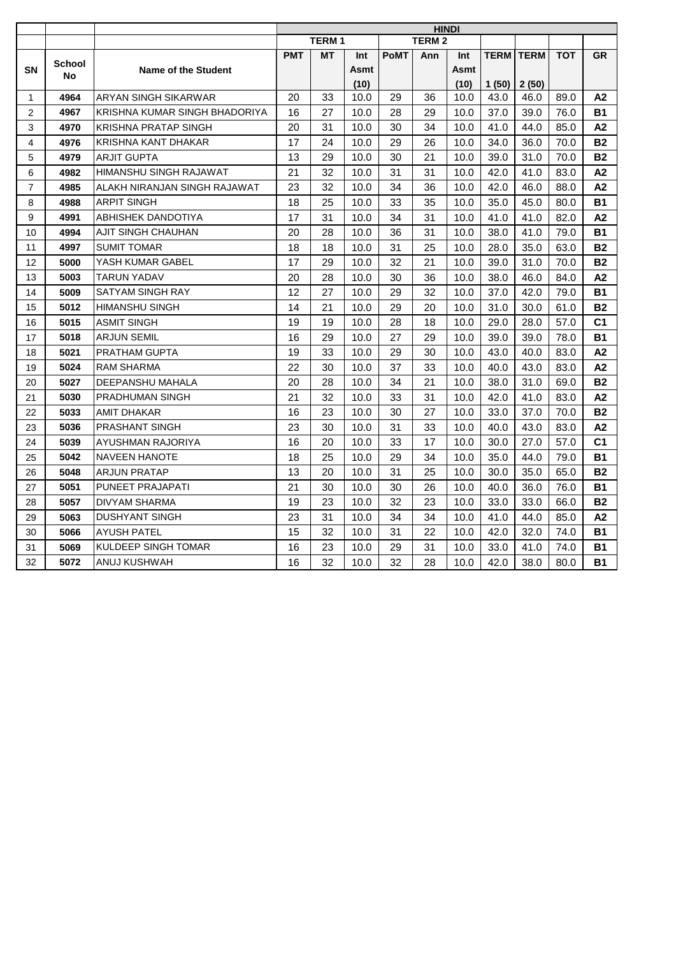| <b>TERM1</b><br>TERM <sub>2</sub><br><b>PMT</b><br>MT<br><b>PoMT</b><br>Ann<br>Int<br>Int<br><b>School</b><br><b>SN</b><br><b>Name of the Student</b><br>Asmt<br>Asmt<br>No<br>(10)<br>(10)<br>ARYAN SINGH SIKARWAR<br>4964<br>20<br>33<br>10.0<br>29<br>36<br>10.0<br>1 | <b>TERM</b><br>1(50)<br>43.0<br>37.0<br>41.0<br>34.0<br>39.0 |      | <b>TERM</b><br>2(50)<br>46.0<br>39.0<br>44.0 | <b>TOT</b><br>89.0<br>76.0<br>85.0 | GR<br>A2<br><b>B1</b> |
|--------------------------------------------------------------------------------------------------------------------------------------------------------------------------------------------------------------------------------------------------------------------------|--------------------------------------------------------------|------|----------------------------------------------|------------------------------------|-----------------------|
|                                                                                                                                                                                                                                                                          |                                                              |      |                                              |                                    |                       |
|                                                                                                                                                                                                                                                                          |                                                              |      |                                              |                                    |                       |
|                                                                                                                                                                                                                                                                          |                                                              |      |                                              |                                    |                       |
|                                                                                                                                                                                                                                                                          |                                                              |      |                                              |                                    |                       |
|                                                                                                                                                                                                                                                                          |                                                              |      |                                              |                                    |                       |
| 4967<br>KRISHNA KUMAR SINGH BHADORIYA<br>28<br>29<br>2<br>16<br>27<br>10.0<br>10.0                                                                                                                                                                                       |                                                              |      |                                              |                                    |                       |
| <b>KRISHNA PRATAP SINGH</b><br>20<br>3<br>4970<br>31<br>10.0<br>30<br>34<br>10.0                                                                                                                                                                                         |                                                              |      |                                              |                                    | A2                    |
| 4<br>4976<br>KRISHNA KANT DHAKAR<br>17<br>24<br>29<br>26<br>10.0<br>10.0                                                                                                                                                                                                 |                                                              |      | 36.0                                         | 70.0                               | <b>B2</b>             |
| 5<br>21<br>4979<br><b>ARJIT GUPTA</b><br>13<br>29<br>10.0<br>30<br>10.0                                                                                                                                                                                                  |                                                              |      | 31.0                                         | 70.0                               | <b>B2</b>             |
| HIMANSHU SINGH RAJAWAT<br>21<br>32<br>31<br>31<br>10.0<br>6<br>4982<br>10.0                                                                                                                                                                                              |                                                              | 42.0 | 41.0                                         | 83.0                               | A2                    |
| 32<br>34<br>$\overline{7}$<br>4985<br>ALAKH NIRANJAN SINGH RAJAWAT<br>23<br>10.0<br>36<br>10.0                                                                                                                                                                           | 42.0                                                         |      | 46.0                                         | 88.0                               | A2                    |
| <b>ARPIT SINGH</b><br>18<br>25<br>10.0<br>33<br>35<br>10.0<br>8<br>4988                                                                                                                                                                                                  | 35.0                                                         |      | 45.0                                         | 80.0                               | <b>B1</b>             |
| 17<br>9<br>4991<br><b>ABHISHEK DANDOTIYA</b><br>31<br>10.0<br>34<br>31<br>10.0                                                                                                                                                                                           | 41.0                                                         |      | 41.0                                         | 82.0                               | A2                    |
| 20<br>36<br>31<br>4994<br>AJIT SINGH CHAUHAN<br>28<br>10.0<br>10.0<br>10                                                                                                                                                                                                 | 38.0                                                         |      | 41.0                                         | 79.0                               | <b>B1</b>             |
| 4997<br><b>SUMIT TOMAR</b><br>18<br>18<br>31<br>25<br>10.0<br>11<br>10.0                                                                                                                                                                                                 | 28.0                                                         |      | 35.0                                         | 63.0                               | <b>B2</b>             |
| YASH KUMAR GABEL<br>17<br>29<br>32<br>21<br>5000<br>10.0<br>10.0<br>12                                                                                                                                                                                                   | 39.0                                                         |      | 31.0                                         | 70.0                               | <b>B2</b>             |
| 28<br>20<br>10.0<br>30<br>36<br>10.0<br>13<br>5003<br><b>TARUN YADAV</b>                                                                                                                                                                                                 | 38.0                                                         |      | 46.0                                         | 84.0                               | A2                    |
| 14<br>5009<br>SATYAM SINGH RAY<br>12<br>27<br>10.0<br>29<br>32<br>10.0                                                                                                                                                                                                   | 37.0                                                         |      | 42.0                                         | 79.0                               | <b>B1</b>             |
| 5012<br><b>HIMANSHU SINGH</b><br>14<br>21<br>10.0<br>29<br>20<br>10.0<br>15                                                                                                                                                                                              | 31.0                                                         |      | 30.0                                         | 61.0                               | <b>B2</b>             |
| <b>ASMIT SINGH</b><br>19<br>19<br>28<br>18<br>16<br>5015<br>10.0<br>10.0                                                                                                                                                                                                 | 29.0                                                         |      | 28.0                                         | 57.0                               | C <sub>1</sub>        |
| 29<br>27<br><b>ARJUN SEMIL</b><br>16<br>10.0<br>29<br>10.0<br>17<br>5018                                                                                                                                                                                                 | 39.0                                                         |      | 39.0                                         | 78.0                               | <b>B1</b>             |
| 5021<br>19<br>33<br>29<br>30<br>10.0<br>18<br>PRATHAM GUPTA<br>10.0                                                                                                                                                                                                      | 43.0                                                         |      | 40.0                                         | 83.0                               | А2                    |
| 22<br>30<br>33<br>5024<br>37<br>10.0<br>19<br><b>RAM SHARMA</b><br>10.0                                                                                                                                                                                                  | 40.0                                                         |      | 43.0                                         | 83.0                               | A2                    |
| 20<br>21<br>28<br>34<br>20<br>5027<br>DEEPANSHU MAHALA<br>10.0<br>10.0                                                                                                                                                                                                   | 38.0                                                         |      | 31.0                                         | 69.0                               | <b>B2</b>             |
| 21<br>32<br>PRADHUMAN SINGH<br>33<br>31<br>10.0<br>21<br>5030<br>10.0                                                                                                                                                                                                    | 42.0                                                         |      | 41.0                                         | 83.0                               | A2                    |
| 16<br>23<br>30<br>27<br>22<br>5033<br><b>AMIT DHAKAR</b><br>10.0<br>10.0                                                                                                                                                                                                 | 33.0                                                         |      | 37.0                                         | 70.0                               | <b>B2</b>             |
| 23<br>23<br>30<br>31<br>33<br>5036<br><b>PRASHANT SINGH</b><br>10.0<br>10.0                                                                                                                                                                                              | 40.0                                                         |      | 43.0                                         | 83.0                               | A2                    |
| 5039<br>16<br>20<br>10.0<br>33<br>17<br>10.0<br>24<br>AYUSHMAN RAJORIYA                                                                                                                                                                                                  | 30.0                                                         |      | 27.0                                         | 57.0                               | C <sub>1</sub>        |
| <b>NAVEEN HANOTE</b><br>18<br>25<br>29<br>34<br>25<br>5042<br>10.0<br>10.0                                                                                                                                                                                               | 35.0                                                         |      | 44.0                                         | 79.0                               | <b>B1</b>             |
| 13<br>20<br>25<br><b>ARJUN PRATAP</b><br>10.0<br>31<br>26<br>10.0<br>5048                                                                                                                                                                                                | 30.0                                                         |      | 35.0                                         | 65.0                               | <b>B2</b>             |
| 21<br>27<br>5051<br>PUNEET PRAJAPATI<br>30<br>30<br>26<br>10.0<br>10.0                                                                                                                                                                                                   | 40.0                                                         |      | 36.0                                         | 76.0                               | <b>B1</b>             |
| 28<br>23<br>5057<br>DIVYAM SHARMA<br>19<br>10.0<br>32<br>23<br>10.0                                                                                                                                                                                                      | 33.0                                                         |      | 33.0                                         | 66.0                               | <b>B2</b>             |
| 5063<br><b>DUSHYANT SINGH</b><br>23<br>31<br>10.0<br>34<br>34<br>10.0<br>29                                                                                                                                                                                              | 41.0                                                         |      | 44.0                                         | 85.0                               | A2                    |
| <b>AYUSH PATEL</b><br>15<br>32<br>10.0<br>31<br>22<br>30<br>5066<br>10.0                                                                                                                                                                                                 | 42.0                                                         |      | 32.0                                         | 74.0                               | <b>B1</b>             |
| <b>KULDEEP SINGH TOMAR</b><br>16<br>23<br>29<br>31<br>31<br>5069<br>10.0<br>10.0                                                                                                                                                                                         | 33.0                                                         |      | 41.0                                         | 74.0                               | <b>B1</b>             |
| 32<br>5072<br>16<br>32<br>32<br>28<br>ANUJ KUSHWAH<br>10.0<br>10.0                                                                                                                                                                                                       | 42.0                                                         |      | 38.0                                         | 80.0                               | <b>B1</b>             |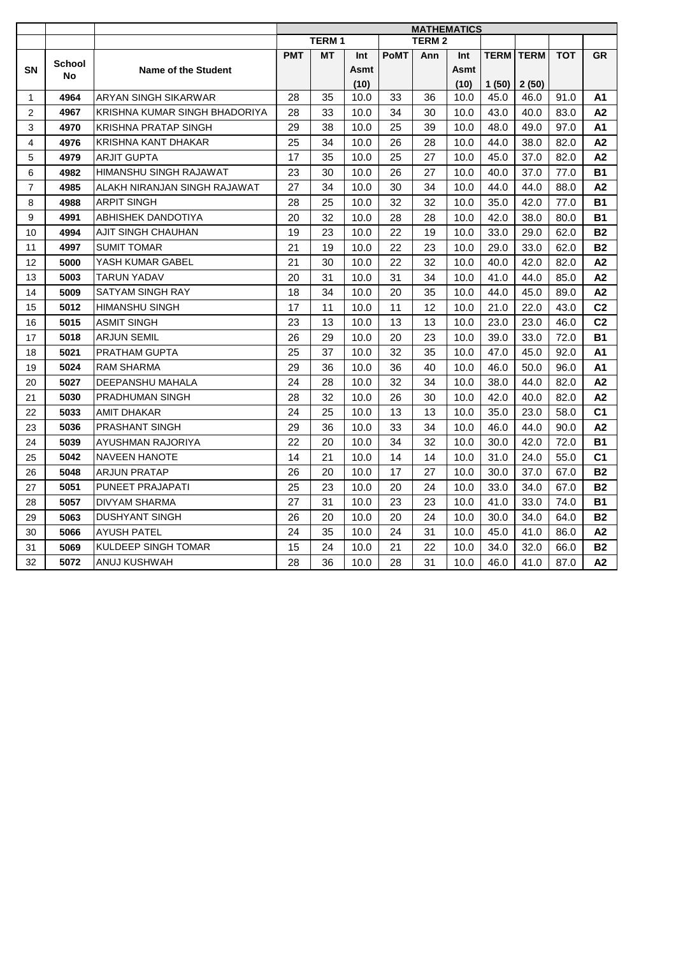| <b>TERM1</b><br><b>TERM 2</b><br><b>PMT</b><br><b>PoMT</b><br>Ann<br><b>TERM</b><br><b>TERM</b><br><b>TOT</b><br>МT<br>Int<br>Int<br><b>School</b><br><b>SN</b><br><b>Name of the Student</b><br>Asmt<br>Asmt<br>No<br>(10)<br>(10)<br>1(50)<br>2(50)<br>ARYAN SINGH SIKARWAR<br>4964<br>28<br>35<br>10.0<br>33<br>36<br>10.0<br>45.0<br>46.0<br>91.0<br>1<br>4967<br>KRISHNA KUMAR SINGH BHADORIYA<br>28<br>33<br>10.0<br>34<br>30<br>10.0<br>2<br>43.0<br>40.0<br>83.0<br>3<br><b>KRISHNA PRATAP SINGH</b><br>29<br>38<br>25<br>39<br>10.0<br>97.0<br>4970<br>10.0<br>48.0<br>49.0<br>$\overline{4}$<br>KRISHNA KANT DHAKAR<br>25<br>34<br>26<br>28<br>44.0<br>4976<br>10.0<br>10.0<br>38.0<br>82.0<br>5<br>17<br>25<br>27<br>4979<br><b>ARJIT GUPTA</b><br>35<br>10.0<br>10.0<br>45.0<br>37.0<br>82.0<br>4982<br>HIMANSHU SINGH RAJAWAT<br>23<br>30<br>10.0<br>26<br>27<br>10.0<br>40.0<br>37.0<br>77.0<br>6<br>ALAKH NIRANJAN SINGH RAJAWAT<br>27<br>34<br>10.0<br>30<br>34<br>10.0<br>44.0<br>44.0<br>$\overline{7}$<br>4985<br>88.0<br><b>ARPIT SINGH</b><br>28<br>25<br>32<br>32<br>8<br>4988<br>10.0<br>10.0<br>35.0<br>42.0<br>77.0<br>9<br>20<br>4991<br>ABHISHEK DANDOTIYA<br>32<br>10.0<br>28<br>28<br>10.0<br>42.0<br>80.0<br>38.0 |                |
|-------------------------------------------------------------------------------------------------------------------------------------------------------------------------------------------------------------------------------------------------------------------------------------------------------------------------------------------------------------------------------------------------------------------------------------------------------------------------------------------------------------------------------------------------------------------------------------------------------------------------------------------------------------------------------------------------------------------------------------------------------------------------------------------------------------------------------------------------------------------------------------------------------------------------------------------------------------------------------------------------------------------------------------------------------------------------------------------------------------------------------------------------------------------------------------------------------------------------------------------------|----------------|
|                                                                                                                                                                                                                                                                                                                                                                                                                                                                                                                                                                                                                                                                                                                                                                                                                                                                                                                                                                                                                                                                                                                                                                                                                                                 |                |
|                                                                                                                                                                                                                                                                                                                                                                                                                                                                                                                                                                                                                                                                                                                                                                                                                                                                                                                                                                                                                                                                                                                                                                                                                                                 | <b>GR</b>      |
|                                                                                                                                                                                                                                                                                                                                                                                                                                                                                                                                                                                                                                                                                                                                                                                                                                                                                                                                                                                                                                                                                                                                                                                                                                                 |                |
|                                                                                                                                                                                                                                                                                                                                                                                                                                                                                                                                                                                                                                                                                                                                                                                                                                                                                                                                                                                                                                                                                                                                                                                                                                                 |                |
|                                                                                                                                                                                                                                                                                                                                                                                                                                                                                                                                                                                                                                                                                                                                                                                                                                                                                                                                                                                                                                                                                                                                                                                                                                                 | A1             |
|                                                                                                                                                                                                                                                                                                                                                                                                                                                                                                                                                                                                                                                                                                                                                                                                                                                                                                                                                                                                                                                                                                                                                                                                                                                 | A2             |
|                                                                                                                                                                                                                                                                                                                                                                                                                                                                                                                                                                                                                                                                                                                                                                                                                                                                                                                                                                                                                                                                                                                                                                                                                                                 | A1             |
|                                                                                                                                                                                                                                                                                                                                                                                                                                                                                                                                                                                                                                                                                                                                                                                                                                                                                                                                                                                                                                                                                                                                                                                                                                                 | A2             |
|                                                                                                                                                                                                                                                                                                                                                                                                                                                                                                                                                                                                                                                                                                                                                                                                                                                                                                                                                                                                                                                                                                                                                                                                                                                 | A2             |
|                                                                                                                                                                                                                                                                                                                                                                                                                                                                                                                                                                                                                                                                                                                                                                                                                                                                                                                                                                                                                                                                                                                                                                                                                                                 | <b>B1</b>      |
|                                                                                                                                                                                                                                                                                                                                                                                                                                                                                                                                                                                                                                                                                                                                                                                                                                                                                                                                                                                                                                                                                                                                                                                                                                                 | A2             |
|                                                                                                                                                                                                                                                                                                                                                                                                                                                                                                                                                                                                                                                                                                                                                                                                                                                                                                                                                                                                                                                                                                                                                                                                                                                 | <b>B1</b>      |
|                                                                                                                                                                                                                                                                                                                                                                                                                                                                                                                                                                                                                                                                                                                                                                                                                                                                                                                                                                                                                                                                                                                                                                                                                                                 | <b>B1</b>      |
| AJIT SINGH CHAUHAN<br>19<br>23<br>22<br>19<br>62.0<br>10<br>4994<br>10.0<br>10.0<br>33.0<br>29.0                                                                                                                                                                                                                                                                                                                                                                                                                                                                                                                                                                                                                                                                                                                                                                                                                                                                                                                                                                                                                                                                                                                                                | <b>B2</b>      |
| 21<br>19<br>22<br>23<br>29.0<br>4997<br><b>SUMIT TOMAR</b><br>10.0<br>10.0<br>33.0<br>62.0<br>11                                                                                                                                                                                                                                                                                                                                                                                                                                                                                                                                                                                                                                                                                                                                                                                                                                                                                                                                                                                                                                                                                                                                                | <b>B2</b>      |
| 21<br>22<br>32<br>YASH KUMAR GABEL<br>30<br>10.0<br>10.0<br>40.0<br>42.0<br>82.0<br>12<br>5000                                                                                                                                                                                                                                                                                                                                                                                                                                                                                                                                                                                                                                                                                                                                                                                                                                                                                                                                                                                                                                                                                                                                                  | A2             |
| 20<br>31<br>31<br>34<br>41.0<br>13<br>5003<br><b>TARUN YADAV</b><br>10.0<br>10.0<br>44.0<br>85.0                                                                                                                                                                                                                                                                                                                                                                                                                                                                                                                                                                                                                                                                                                                                                                                                                                                                                                                                                                                                                                                                                                                                                | A2             |
| 14<br>5009<br>18<br>34<br>10.0<br>20<br>35<br>44.0<br>45.0<br>89.0<br>SATYAM SINGH RAY<br>10.0                                                                                                                                                                                                                                                                                                                                                                                                                                                                                                                                                                                                                                                                                                                                                                                                                                                                                                                                                                                                                                                                                                                                                  | A2             |
| <b>HIMANSHU SINGH</b><br>17<br>11<br>11<br>12<br>21.0<br>15<br>5012<br>10.0<br>10.0<br>22.0<br>43.0                                                                                                                                                                                                                                                                                                                                                                                                                                                                                                                                                                                                                                                                                                                                                                                                                                                                                                                                                                                                                                                                                                                                             | C <sub>2</sub> |
| 23<br>13<br>13<br>13<br>23.0<br><b>ASMIT SINGH</b><br>10.0<br>10.0<br>23.0<br>46.0<br>16<br>5015                                                                                                                                                                                                                                                                                                                                                                                                                                                                                                                                                                                                                                                                                                                                                                                                                                                                                                                                                                                                                                                                                                                                                | C <sub>2</sub> |
| 26<br>29<br>20<br>23<br>10.0<br>39.0<br>33.0<br>72.0<br>17<br>5018<br><b>ARJUN SEMIL</b><br>10.0                                                                                                                                                                                                                                                                                                                                                                                                                                                                                                                                                                                                                                                                                                                                                                                                                                                                                                                                                                                                                                                                                                                                                | <b>B1</b>      |
| 25<br>37<br>32<br>35<br>18<br>5021<br>PRATHAM GUPTA<br>10.0<br>10.0<br>47.0<br>45.0<br>92.0                                                                                                                                                                                                                                                                                                                                                                                                                                                                                                                                                                                                                                                                                                                                                                                                                                                                                                                                                                                                                                                                                                                                                     | A1             |
| 29<br>36<br>40<br>19<br>5024<br><b>RAM SHARMA</b><br>10.0<br>36<br>10.0<br>46.0<br>50.0<br>96.0                                                                                                                                                                                                                                                                                                                                                                                                                                                                                                                                                                                                                                                                                                                                                                                                                                                                                                                                                                                                                                                                                                                                                 | <b>A1</b>      |
| 24<br>DEEPANSHU MAHALA<br>28<br>32<br>34<br>38.0<br>44.0<br>82.0<br>20<br>5027<br>10.0<br>10.0                                                                                                                                                                                                                                                                                                                                                                                                                                                                                                                                                                                                                                                                                                                                                                                                                                                                                                                                                                                                                                                                                                                                                  | A2             |
| 28<br>32<br>26<br>42.0<br>82.0<br>21<br>5030<br><b>PRADHUMAN SINGH</b><br>10.0<br>30<br>10.0<br>40.0                                                                                                                                                                                                                                                                                                                                                                                                                                                                                                                                                                                                                                                                                                                                                                                                                                                                                                                                                                                                                                                                                                                                            | A2             |
| 24<br>25<br>22<br><b>AMIT DHAKAR</b><br>10.0<br>13<br>13<br>10.0<br>35.0<br>23.0<br>58.0<br>5033                                                                                                                                                                                                                                                                                                                                                                                                                                                                                                                                                                                                                                                                                                                                                                                                                                                                                                                                                                                                                                                                                                                                                | C <sub>1</sub> |
| 23<br>29<br>36<br>34<br>5036<br><b>PRASHANT SINGH</b><br>10.0<br>33<br>10.0<br>46.0<br>44.0<br>90.0                                                                                                                                                                                                                                                                                                                                                                                                                                                                                                                                                                                                                                                                                                                                                                                                                                                                                                                                                                                                                                                                                                                                             | A2             |
| 22<br>20<br>34<br>32<br>72.0<br>24<br>5039<br>AYUSHMAN RAJORIYA<br>10.0<br>10.0<br>30.0<br>42.0                                                                                                                                                                                                                                                                                                                                                                                                                                                                                                                                                                                                                                                                                                                                                                                                                                                                                                                                                                                                                                                                                                                                                 | <b>B1</b>      |
| 14<br>21<br>14<br>55.0<br>25<br>5042<br><b>NAVEEN HANOTE</b><br>10.0<br>14<br>10.0<br>31.0<br>24.0                                                                                                                                                                                                                                                                                                                                                                                                                                                                                                                                                                                                                                                                                                                                                                                                                                                                                                                                                                                                                                                                                                                                              | C <sub>1</sub> |
| <b>ARJUN PRATAP</b><br>26<br>20<br>17<br>27<br>26<br>10.0<br>10.0<br>30.0<br>37.0<br>67.0<br>5048                                                                                                                                                                                                                                                                                                                                                                                                                                                                                                                                                                                                                                                                                                                                                                                                                                                                                                                                                                                                                                                                                                                                               | <b>B2</b>      |
| 27<br>25<br>23<br>24<br>33.0<br>5051<br>PUNEET PRAJAPATI<br>10.0<br>20<br>10.0<br>34.0<br>67.0                                                                                                                                                                                                                                                                                                                                                                                                                                                                                                                                                                                                                                                                                                                                                                                                                                                                                                                                                                                                                                                                                                                                                  | <b>B2</b>      |
| 28<br>27<br>31<br>5057<br>DIVYAM SHARMA<br>10.0<br>23<br>23<br>10.0<br>41.0<br>33.0<br>74.0                                                                                                                                                                                                                                                                                                                                                                                                                                                                                                                                                                                                                                                                                                                                                                                                                                                                                                                                                                                                                                                                                                                                                     | <b>B1</b>      |
| 5063<br><b>DUSHYANT SINGH</b><br>26<br>20<br>10.0<br>20<br>24<br>30.0<br>34.0<br>64.0<br>29<br>10.0                                                                                                                                                                                                                                                                                                                                                                                                                                                                                                                                                                                                                                                                                                                                                                                                                                                                                                                                                                                                                                                                                                                                             | <b>B2</b>      |
| <b>AYUSH PATEL</b><br>24<br>35<br>10.0<br>24<br>31<br>41.0<br>30<br>5066<br>10.0<br>45.0<br>86.0                                                                                                                                                                                                                                                                                                                                                                                                                                                                                                                                                                                                                                                                                                                                                                                                                                                                                                                                                                                                                                                                                                                                                | A2             |
| <b>KULDEEP SINGH TOMAR</b><br>15<br>24<br>22<br>31<br>5069<br>10.0<br>21<br>10.0<br>34.0<br>32.0<br>66.0                                                                                                                                                                                                                                                                                                                                                                                                                                                                                                                                                                                                                                                                                                                                                                                                                                                                                                                                                                                                                                                                                                                                        | <b>B2</b>      |
| 32<br>5072<br>28<br>28<br>31<br>ANUJ KUSHWAH<br>36<br>10.0<br>10.0<br>46.0<br>41.0<br>87.0                                                                                                                                                                                                                                                                                                                                                                                                                                                                                                                                                                                                                                                                                                                                                                                                                                                                                                                                                                                                                                                                                                                                                      | A2             |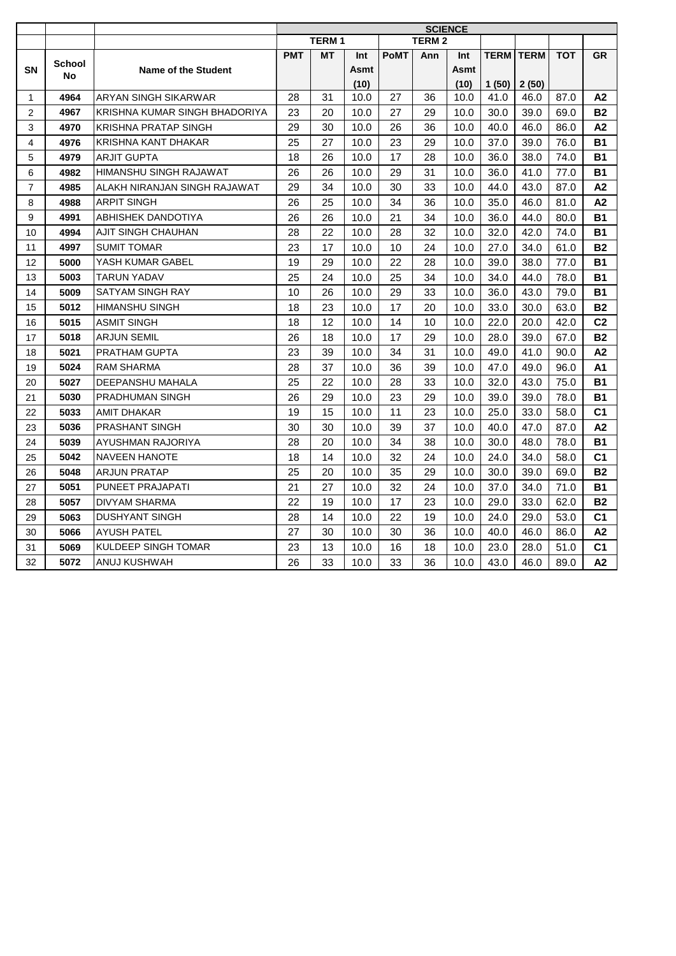|                |               |                               |            |              |      |             |              | <b>SCIENCE</b> |             |             |            |                |
|----------------|---------------|-------------------------------|------------|--------------|------|-------------|--------------|----------------|-------------|-------------|------------|----------------|
|                |               |                               |            | <b>TERM1</b> |      |             | <b>TERM2</b> |                |             |             |            |                |
|                | <b>School</b> |                               | <b>PMT</b> | MT           | Int  | <b>PoMT</b> | Ann          | Int            | <b>TERM</b> | <b>TERM</b> | <b>TOT</b> | GR             |
| <b>SN</b>      | No            | <b>Name of the Student</b>    |            |              | Asmt |             |              | Asmt           |             |             |            |                |
|                |               |                               |            |              | (10) |             |              | (10)           | 1(50)       | 2(50)       |            |                |
| 1              | 4964          | ARYAN SINGH SIKARWAR          | 28         | 31           | 10.0 | 27          | 36           | 10.0           | 41.0        | 46.0        | 87.0       | A2             |
| 2              | 4967          | KRISHNA KUMAR SINGH BHADORIYA | 23         | 20           | 10.0 | 27          | 29           | 10.0           | 30.0        | 39.0        | 69.0       | <b>B2</b>      |
| 3              | 4970          | <b>KRISHNA PRATAP SINGH</b>   | 29         | 30           | 10.0 | 26          | 36           | 10.0           | 40.0        | 46.0        | 86.0       | A2             |
| 4              | 4976          | KRISHNA KANT DHAKAR           | 25         | 27           | 10.0 | 23          | 29           | 10.0           | 37.0        | 39.0        | 76.0       | <b>B1</b>      |
| 5              | 4979          | <b>ARJIT GUPTA</b>            | 18         | 26           | 10.0 | 17          | 28           | 10.0           | 36.0        | 38.0        | 74.0       | <b>B1</b>      |
| 6              | 4982          | HIMANSHU SINGH RAJAWAT        | 26         | 26           | 10.0 | 29          | 31           | 10.0           | 36.0        | 41.0        | 77.0       | <b>B1</b>      |
| $\overline{7}$ | 4985          | ALAKH NIRANJAN SINGH RAJAWAT  | 29         | 34           | 10.0 | 30          | 33           | 10.0           | 44.0        | 43.0        | 87.0       | A2             |
| 8              | 4988          | <b>ARPIT SINGH</b>            | 26         | 25           | 10.0 | 34          | 36           | 10.0           | 35.0        | 46.0        | 81.0       | A2             |
| 9              | 4991          | <b>ABHISHEK DANDOTIYA</b>     | 26         | 26           | 10.0 | 21          | 34           | 10.0           | 36.0        | 44.0        | 80.0       | <b>B1</b>      |
| 10             | 4994          | AJIT SINGH CHAUHAN            | 28         | 22           | 10.0 | 28          | 32           | 10.0           | 32.0        | 42.0        | 74.0       | <b>B1</b>      |
| 11             | 4997          | <b>SUMIT TOMAR</b>            | 23         | 17           | 10.0 | 10          | 24           | 10.0           | 27.0        | 34.0        | 61.0       | <b>B2</b>      |
| 12             | 5000          | YASH KUMAR GABEL              | 19         | 29           | 10.0 | 22          | 28           | 10.0           | 39.0        | 38.0        | 77.0       | <b>B1</b>      |
| 13             | 5003          | <b>TARUN YADAV</b>            | 25         | 24           | 10.0 | 25          | 34           | 10.0           | 34.0        | 44.0        | 78.0       | <b>B1</b>      |
| 14             | 5009          | SATYAM SINGH RAY              | 10         | 26           | 10.0 | 29          | 33           | 10.0           | 36.0        | 43.0        | 79.0       | <b>B1</b>      |
| 15             | 5012          | <b>HIMANSHU SINGH</b>         | 18         | 23           | 10.0 | 17          | 20           | 10.0           | 33.0        | 30.0        | 63.0       | <b>B2</b>      |
| 16             | 5015          | <b>ASMIT SINGH</b>            | 18         | 12           | 10.0 | 14          | 10           | 10.0           | 22.0        | 20.0        | 42.0       | C <sub>2</sub> |
| 17             | 5018          | <b>ARJUN SEMIL</b>            | 26         | 18           | 10.0 | 17          | 29           | 10.0           | 28.0        | 39.0        | 67.0       | <b>B2</b>      |
| 18             | 5021          | PRATHAM GUPTA                 | 23         | 39           | 10.0 | 34          | 31           | 10.0           | 49.0        | 41.0        | 90.0       | А2             |
| 19             | 5024          | <b>RAM SHARMA</b>             | 28         | 37           | 10.0 | 36          | 39           | 10.0           | 47.0        | 49.0        | 96.0       | <b>A1</b>      |
| 20             | 5027          | DEEPANSHU MAHALA              | 25         | 22           | 10.0 | 28          | 33           | 10.0           | 32.0        | 43.0        | 75.0       | <b>B1</b>      |
| 21             | 5030          | PRADHUMAN SINGH               | 26         | 29           | 10.0 | 23          | 29           | 10.0           | 39.0        | 39.0        | 78.0       | <b>B1</b>      |
| 22             | 5033          | <b>AMIT DHAKAR</b>            | 19         | 15           | 10.0 | 11          | 23           | 10.0           | 25.0        | 33.0        | 58.0       | C <sub>1</sub> |
| 23             | 5036          | <b>PRASHANT SINGH</b>         | 30         | 30           | 10.0 | 39          | 37           | 10.0           | 40.0        | 47.0        | 87.0       | A2             |
| 24             | 5039          | AYUSHMAN RAJORIYA             | 28         | 20           | 10.0 | 34          | 38           | 10.0           | 30.0        | 48.0        | 78.0       | <b>B1</b>      |
| 25             | 5042          | <b>NAVEEN HANOTE</b>          | 18         | 14           | 10.0 | 32          | 24           | 10.0           | 24.0        | 34.0        | 58.0       | C <sub>1</sub> |
| 26             | 5048          | <b>ARJUN PRATAP</b>           | 25         | 20           | 10.0 | 35          | 29           | 10.0           | 30.0        | 39.0        | 69.0       | <b>B2</b>      |
| 27             | 5051          | PUNEET PRAJAPATI              | 21         | 27           | 10.0 | 32          | 24           | 10.0           | 37.0        | 34.0        | 71.0       | <b>B1</b>      |
| 28             | 5057          | DIVYAM SHARMA                 | 22         | 19           | 10.0 | 17          | 23           | 10.0           | 29.0        | 33.0        | 62.0       | <b>B2</b>      |
| 29             | 5063          | <b>DUSHYANT SINGH</b>         | 28         | 14           | 10.0 | 22          | 19           | 10.0           | 24.0        | 29.0        | 53.0       | C1             |
| 30             | 5066          | <b>AYUSH PATEL</b>            | 27         | 30           | 10.0 | 30          | 36           | 10.0           | 40.0        | 46.0        | 86.0       | A2             |
| 31             | 5069          | <b>KULDEEP SINGH TOMAR</b>    | 23         | 13           | 10.0 | 16          | 18           | 10.0           | 23.0        | 28.0        | 51.0       | C <sub>1</sub> |
| 32             | 5072          | ANUJ KUSHWAH                  | 26         | 33           | 10.0 | 33          | 36           | 10.0           | 43.0        | 46.0        | 89.0       | A2             |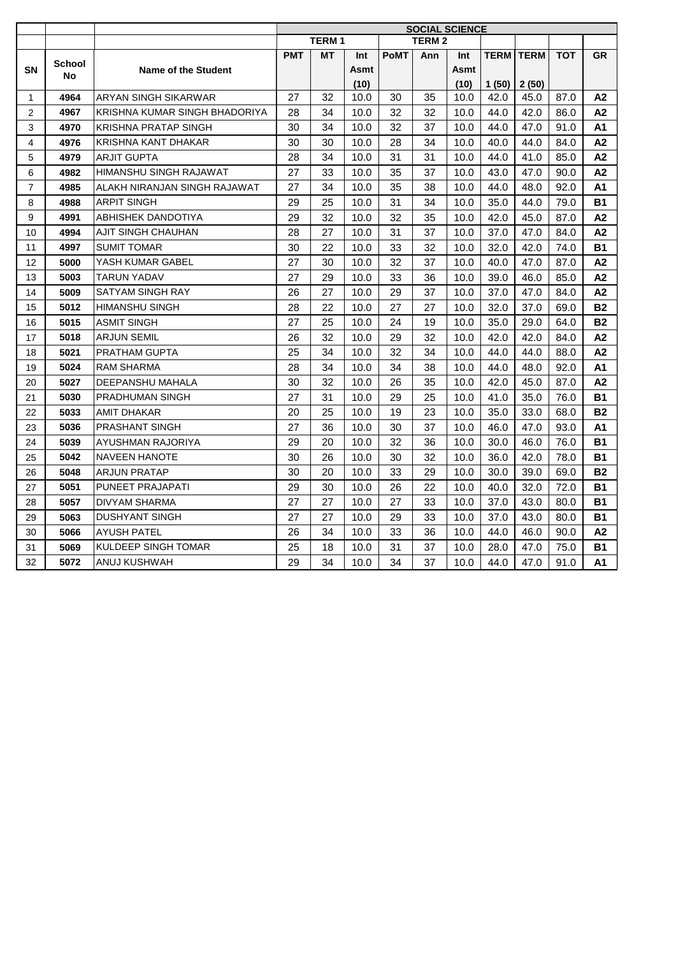| <b>TERM1</b><br><b>TERM 2</b><br><b>PMT</b><br><b>PoMT</b><br>Ann<br><b>TERM</b><br><b>TERM</b><br><b>TOT</b><br>МT<br>Int<br>Int<br><b>School</b><br><b>SN</b><br><b>Name of the Student</b><br>Asmt<br>Asmt<br>No<br>(10)<br>(10)<br>1(50)<br>2(50)<br>ARYAN SINGH SIKARWAR<br>35<br>4964<br>27<br>32<br>10.0<br>30<br>10.0<br>42.0<br>45.0<br>87.0<br>1<br>4967<br>KRISHNA KUMAR SINGH BHADORIYA<br>28<br>34<br>10.0<br>32<br>32<br>10.0<br>44.0<br>2<br>42.0<br>86.0<br>3<br><b>KRISHNA PRATAP SINGH</b><br>30<br>34<br>32<br>37<br>10.0<br>44.0<br>47.0<br>4970<br>10.0<br>91.0<br>$\overline{4}$<br>KRISHNA KANT DHAKAR<br>30<br>30<br>28<br>34<br>4976<br>10.0<br>10.0<br>40.0<br>44.0<br>84.0<br>5<br>28<br>34<br>31<br>31<br>4979<br><b>ARJIT GUPTA</b><br>10.0<br>10.0<br>44.0<br>41.0<br>85.0<br>27<br>37<br>4982<br>HIMANSHU SINGH RAJAWAT<br>33<br>10.0<br>35<br>10.0<br>43.0<br>47.0<br>90.0<br>6<br>ALAKH NIRANJAN SINGH RAJAWAT<br>27<br>34<br>10.0<br>35<br>38<br>10.0<br>44.0<br>48.0<br>92.0<br>$\overline{7}$<br>4985<br><b>ARPIT SINGH</b><br>29<br>25<br>31<br>34<br>10.0<br>8<br>4988<br>10.0<br>35.0<br>44.0<br>79.0<br>9<br>29<br>32<br>4991<br>ABHISHEK DANDOTIYA<br>32<br>10.0<br>35<br>10.0<br>42.0<br>45.0<br>87.0<br>AJIT SINGH CHAUHAN<br>28<br>27<br>31<br>37<br>37.0<br>10<br>4994<br>10.0<br>10.0<br>47.0<br>84.0<br><b>SUMIT TOMAR</b><br>22<br>32<br>4997<br>30<br>10.0<br>33<br>10.0<br>32.0<br>42.0<br>74.0<br>11<br>27<br>32<br>37<br>YASH KUMAR GABEL<br>30<br>10.0<br>10.0<br>40.0<br>47.0<br>87.0<br>12<br>5000<br>27<br>33<br>36<br>13<br>5003<br><b>TARUN YADAV</b><br>29<br>10.0<br>10.0<br>39.0<br>46.0<br>85.0<br>14<br>5009<br>26<br>27<br>10.0<br>29<br>37<br>37.0<br>47.0<br>SATYAM SINGH RAY<br>10.0<br>84.0 |    |      |                       |    |    |      |    |    | <b>SOCIAL SCIENCE</b> |      |      |      |           |
|-----------------------------------------------------------------------------------------------------------------------------------------------------------------------------------------------------------------------------------------------------------------------------------------------------------------------------------------------------------------------------------------------------------------------------------------------------------------------------------------------------------------------------------------------------------------------------------------------------------------------------------------------------------------------------------------------------------------------------------------------------------------------------------------------------------------------------------------------------------------------------------------------------------------------------------------------------------------------------------------------------------------------------------------------------------------------------------------------------------------------------------------------------------------------------------------------------------------------------------------------------------------------------------------------------------------------------------------------------------------------------------------------------------------------------------------------------------------------------------------------------------------------------------------------------------------------------------------------------------------------------------------------------------------------------------------------------------------------------------------------------------------|----|------|-----------------------|----|----|------|----|----|-----------------------|------|------|------|-----------|
|                                                                                                                                                                                                                                                                                                                                                                                                                                                                                                                                                                                                                                                                                                                                                                                                                                                                                                                                                                                                                                                                                                                                                                                                                                                                                                                                                                                                                                                                                                                                                                                                                                                                                                                                                                 |    |      |                       |    |    |      |    |    |                       |      |      |      |           |
|                                                                                                                                                                                                                                                                                                                                                                                                                                                                                                                                                                                                                                                                                                                                                                                                                                                                                                                                                                                                                                                                                                                                                                                                                                                                                                                                                                                                                                                                                                                                                                                                                                                                                                                                                                 |    |      |                       |    |    |      |    |    |                       |      |      |      | <b>GR</b> |
|                                                                                                                                                                                                                                                                                                                                                                                                                                                                                                                                                                                                                                                                                                                                                                                                                                                                                                                                                                                                                                                                                                                                                                                                                                                                                                                                                                                                                                                                                                                                                                                                                                                                                                                                                                 |    |      |                       |    |    |      |    |    |                       |      |      |      |           |
|                                                                                                                                                                                                                                                                                                                                                                                                                                                                                                                                                                                                                                                                                                                                                                                                                                                                                                                                                                                                                                                                                                                                                                                                                                                                                                                                                                                                                                                                                                                                                                                                                                                                                                                                                                 |    |      |                       |    |    |      |    |    |                       |      |      |      |           |
|                                                                                                                                                                                                                                                                                                                                                                                                                                                                                                                                                                                                                                                                                                                                                                                                                                                                                                                                                                                                                                                                                                                                                                                                                                                                                                                                                                                                                                                                                                                                                                                                                                                                                                                                                                 |    |      |                       |    |    |      |    |    |                       |      |      |      | A2        |
|                                                                                                                                                                                                                                                                                                                                                                                                                                                                                                                                                                                                                                                                                                                                                                                                                                                                                                                                                                                                                                                                                                                                                                                                                                                                                                                                                                                                                                                                                                                                                                                                                                                                                                                                                                 |    |      |                       |    |    |      |    |    |                       |      |      |      | A2        |
|                                                                                                                                                                                                                                                                                                                                                                                                                                                                                                                                                                                                                                                                                                                                                                                                                                                                                                                                                                                                                                                                                                                                                                                                                                                                                                                                                                                                                                                                                                                                                                                                                                                                                                                                                                 |    |      |                       |    |    |      |    |    |                       |      |      |      | A1        |
|                                                                                                                                                                                                                                                                                                                                                                                                                                                                                                                                                                                                                                                                                                                                                                                                                                                                                                                                                                                                                                                                                                                                                                                                                                                                                                                                                                                                                                                                                                                                                                                                                                                                                                                                                                 |    |      |                       |    |    |      |    |    |                       |      |      |      | A2        |
|                                                                                                                                                                                                                                                                                                                                                                                                                                                                                                                                                                                                                                                                                                                                                                                                                                                                                                                                                                                                                                                                                                                                                                                                                                                                                                                                                                                                                                                                                                                                                                                                                                                                                                                                                                 |    |      |                       |    |    |      |    |    |                       |      |      |      | A2        |
|                                                                                                                                                                                                                                                                                                                                                                                                                                                                                                                                                                                                                                                                                                                                                                                                                                                                                                                                                                                                                                                                                                                                                                                                                                                                                                                                                                                                                                                                                                                                                                                                                                                                                                                                                                 |    |      |                       |    |    |      |    |    |                       |      |      |      | A2        |
|                                                                                                                                                                                                                                                                                                                                                                                                                                                                                                                                                                                                                                                                                                                                                                                                                                                                                                                                                                                                                                                                                                                                                                                                                                                                                                                                                                                                                                                                                                                                                                                                                                                                                                                                                                 |    |      |                       |    |    |      |    |    |                       |      |      |      | A1        |
|                                                                                                                                                                                                                                                                                                                                                                                                                                                                                                                                                                                                                                                                                                                                                                                                                                                                                                                                                                                                                                                                                                                                                                                                                                                                                                                                                                                                                                                                                                                                                                                                                                                                                                                                                                 |    |      |                       |    |    |      |    |    |                       |      |      |      | <b>B1</b> |
|                                                                                                                                                                                                                                                                                                                                                                                                                                                                                                                                                                                                                                                                                                                                                                                                                                                                                                                                                                                                                                                                                                                                                                                                                                                                                                                                                                                                                                                                                                                                                                                                                                                                                                                                                                 |    |      |                       |    |    |      |    |    |                       |      |      |      | A2        |
|                                                                                                                                                                                                                                                                                                                                                                                                                                                                                                                                                                                                                                                                                                                                                                                                                                                                                                                                                                                                                                                                                                                                                                                                                                                                                                                                                                                                                                                                                                                                                                                                                                                                                                                                                                 |    |      |                       |    |    |      |    |    |                       |      |      |      | A2        |
|                                                                                                                                                                                                                                                                                                                                                                                                                                                                                                                                                                                                                                                                                                                                                                                                                                                                                                                                                                                                                                                                                                                                                                                                                                                                                                                                                                                                                                                                                                                                                                                                                                                                                                                                                                 |    |      |                       |    |    |      |    |    |                       |      |      |      | <b>B1</b> |
|                                                                                                                                                                                                                                                                                                                                                                                                                                                                                                                                                                                                                                                                                                                                                                                                                                                                                                                                                                                                                                                                                                                                                                                                                                                                                                                                                                                                                                                                                                                                                                                                                                                                                                                                                                 |    |      |                       |    |    |      |    |    |                       |      |      |      | A2        |
|                                                                                                                                                                                                                                                                                                                                                                                                                                                                                                                                                                                                                                                                                                                                                                                                                                                                                                                                                                                                                                                                                                                                                                                                                                                                                                                                                                                                                                                                                                                                                                                                                                                                                                                                                                 |    |      |                       |    |    |      |    |    |                       |      |      |      | A2        |
|                                                                                                                                                                                                                                                                                                                                                                                                                                                                                                                                                                                                                                                                                                                                                                                                                                                                                                                                                                                                                                                                                                                                                                                                                                                                                                                                                                                                                                                                                                                                                                                                                                                                                                                                                                 |    |      |                       |    |    |      |    |    |                       |      |      |      | A2        |
|                                                                                                                                                                                                                                                                                                                                                                                                                                                                                                                                                                                                                                                                                                                                                                                                                                                                                                                                                                                                                                                                                                                                                                                                                                                                                                                                                                                                                                                                                                                                                                                                                                                                                                                                                                 | 15 | 5012 | <b>HIMANSHU SINGH</b> | 28 | 22 | 10.0 | 27 | 27 | 10.0                  | 32.0 | 37.0 | 69.0 | <b>B2</b> |
| 27<br>25<br>35.0<br><b>ASMIT SINGH</b><br>10.0<br>24<br>19<br>10.0<br>29.0<br>64.0<br>16<br>5015                                                                                                                                                                                                                                                                                                                                                                                                                                                                                                                                                                                                                                                                                                                                                                                                                                                                                                                                                                                                                                                                                                                                                                                                                                                                                                                                                                                                                                                                                                                                                                                                                                                                |    |      |                       |    |    |      |    |    |                       |      |      |      | <b>B2</b> |
| 26<br>32<br>29<br>32<br>10.0<br>42.0<br>42.0<br>84.0<br>17<br>5018<br><b>ARJUN SEMIL</b><br>10.0                                                                                                                                                                                                                                                                                                                                                                                                                                                                                                                                                                                                                                                                                                                                                                                                                                                                                                                                                                                                                                                                                                                                                                                                                                                                                                                                                                                                                                                                                                                                                                                                                                                                |    |      |                       |    |    |      |    |    |                       |      |      |      | A2        |
| 25<br>34<br>32<br>34<br>44.0<br>18<br>5021<br>PRATHAM GUPTA<br>10.0<br>10.0<br>44.0<br>88.0                                                                                                                                                                                                                                                                                                                                                                                                                                                                                                                                                                                                                                                                                                                                                                                                                                                                                                                                                                                                                                                                                                                                                                                                                                                                                                                                                                                                                                                                                                                                                                                                                                                                     |    |      |                       |    |    |      |    |    |                       |      |      |      | A2        |
| 28<br>34<br>34<br>38<br>44.0<br>19<br>5024<br><b>RAM SHARMA</b><br>10.0<br>10.0<br>48.0<br>92.0                                                                                                                                                                                                                                                                                                                                                                                                                                                                                                                                                                                                                                                                                                                                                                                                                                                                                                                                                                                                                                                                                                                                                                                                                                                                                                                                                                                                                                                                                                                                                                                                                                                                 |    |      |                       |    |    |      |    |    |                       |      |      |      | <b>A1</b> |
| DEEPANSHU MAHALA<br>30<br>32<br>35<br>42.0<br>87.0<br>20<br>5027<br>10.0<br>26<br>10.0<br>45.0                                                                                                                                                                                                                                                                                                                                                                                                                                                                                                                                                                                                                                                                                                                                                                                                                                                                                                                                                                                                                                                                                                                                                                                                                                                                                                                                                                                                                                                                                                                                                                                                                                                                  |    |      |                       |    |    |      |    |    |                       |      |      |      | А2        |
| 27<br>31<br>29<br>25<br>41.0<br>76.0<br>21<br>5030<br><b>PRADHUMAN SINGH</b><br>10.0<br>10.0<br>35.0                                                                                                                                                                                                                                                                                                                                                                                                                                                                                                                                                                                                                                                                                                                                                                                                                                                                                                                                                                                                                                                                                                                                                                                                                                                                                                                                                                                                                                                                                                                                                                                                                                                            |    |      |                       |    |    |      |    |    |                       |      |      |      | <b>B1</b> |
| 20<br>25<br>19<br>23<br>22<br><b>AMIT DHAKAR</b><br>10.0<br>10.0<br>35.0<br>33.0<br>68.0<br>5033                                                                                                                                                                                                                                                                                                                                                                                                                                                                                                                                                                                                                                                                                                                                                                                                                                                                                                                                                                                                                                                                                                                                                                                                                                                                                                                                                                                                                                                                                                                                                                                                                                                                |    |      |                       |    |    |      |    |    |                       |      |      |      | <b>B2</b> |
| 23<br>27<br>36<br>37<br>93.0<br>5036<br><b>PRASHANT SINGH</b><br>10.0<br>30<br>10.0<br>46.0<br>47.0                                                                                                                                                                                                                                                                                                                                                                                                                                                                                                                                                                                                                                                                                                                                                                                                                                                                                                                                                                                                                                                                                                                                                                                                                                                                                                                                                                                                                                                                                                                                                                                                                                                             |    |      |                       |    |    |      |    |    |                       |      |      |      | <b>A1</b> |
| 29<br>20<br>32<br>36<br>30.0<br>76.0<br>24<br>5039<br>AYUSHMAN RAJORIYA<br>10.0<br>10.0<br>46.0                                                                                                                                                                                                                                                                                                                                                                                                                                                                                                                                                                                                                                                                                                                                                                                                                                                                                                                                                                                                                                                                                                                                                                                                                                                                                                                                                                                                                                                                                                                                                                                                                                                                 |    |      |                       |    |    |      |    |    |                       |      |      |      | <b>B1</b> |
| 30<br>26<br>30<br>32<br>25<br>5042<br><b>NAVEEN HANOTE</b><br>10.0<br>10.0<br>36.0<br>42.0<br>78.0                                                                                                                                                                                                                                                                                                                                                                                                                                                                                                                                                                                                                                                                                                                                                                                                                                                                                                                                                                                                                                                                                                                                                                                                                                                                                                                                                                                                                                                                                                                                                                                                                                                              |    |      |                       |    |    |      |    |    |                       |      |      |      | <b>B1</b> |
| <b>ARJUN PRATAP</b><br>30<br>20<br>33<br>29<br>30.0<br>69.0<br>26<br>10.0<br>10.0<br>39.0<br>5048                                                                                                                                                                                                                                                                                                                                                                                                                                                                                                                                                                                                                                                                                                                                                                                                                                                                                                                                                                                                                                                                                                                                                                                                                                                                                                                                                                                                                                                                                                                                                                                                                                                               |    |      |                       |    |    |      |    |    |                       |      |      |      | <b>B2</b> |
| 27<br>PUNEET PRAJAPATI<br>29<br>30<br>26<br>22<br>32.0<br>5051<br>10.0<br>10.0<br>40.0<br>72.0                                                                                                                                                                                                                                                                                                                                                                                                                                                                                                                                                                                                                                                                                                                                                                                                                                                                                                                                                                                                                                                                                                                                                                                                                                                                                                                                                                                                                                                                                                                                                                                                                                                                  |    |      |                       |    |    |      |    |    |                       |      |      |      | <b>B1</b> |
| 28<br>27<br>27<br>27<br>37.0<br>5057<br>DIVYAM SHARMA<br>10.0<br>33<br>10.0<br>43.0<br>80.0                                                                                                                                                                                                                                                                                                                                                                                                                                                                                                                                                                                                                                                                                                                                                                                                                                                                                                                                                                                                                                                                                                                                                                                                                                                                                                                                                                                                                                                                                                                                                                                                                                                                     |    |      |                       |    |    |      |    |    |                       |      |      |      | <b>B1</b> |
| 5063<br><b>DUSHYANT SINGH</b><br>27<br>27<br>10.0<br>29<br>33<br>10.0<br>37.0<br>43.0<br>29<br>80.0                                                                                                                                                                                                                                                                                                                                                                                                                                                                                                                                                                                                                                                                                                                                                                                                                                                                                                                                                                                                                                                                                                                                                                                                                                                                                                                                                                                                                                                                                                                                                                                                                                                             |    |      |                       |    |    |      |    |    |                       |      |      |      | <b>B1</b> |
| <b>AYUSH PATEL</b><br>26<br>34<br>10.0<br>33<br>36<br>44.0<br>46.0<br>30<br>5066<br>10.0<br>90.0                                                                                                                                                                                                                                                                                                                                                                                                                                                                                                                                                                                                                                                                                                                                                                                                                                                                                                                                                                                                                                                                                                                                                                                                                                                                                                                                                                                                                                                                                                                                                                                                                                                                |    |      |                       |    |    |      |    |    |                       |      |      |      | A2        |
| <b>KULDEEP SINGH TOMAR</b><br>25<br>18<br>31<br>37<br>28.0<br>31<br>5069<br>10.0<br>10.0<br>47.0<br>75.0                                                                                                                                                                                                                                                                                                                                                                                                                                                                                                                                                                                                                                                                                                                                                                                                                                                                                                                                                                                                                                                                                                                                                                                                                                                                                                                                                                                                                                                                                                                                                                                                                                                        |    |      |                       |    |    |      |    |    |                       |      |      |      | <b>B1</b> |
| 32<br>5072<br><b>ANUJ KUSHWAH</b><br>29<br>34<br>34<br>37<br>47.0<br>10.0<br>10.0<br>44.0<br>91.0                                                                                                                                                                                                                                                                                                                                                                                                                                                                                                                                                                                                                                                                                                                                                                                                                                                                                                                                                                                                                                                                                                                                                                                                                                                                                                                                                                                                                                                                                                                                                                                                                                                               |    |      |                       |    |    |      |    |    |                       |      |      |      | A1        |